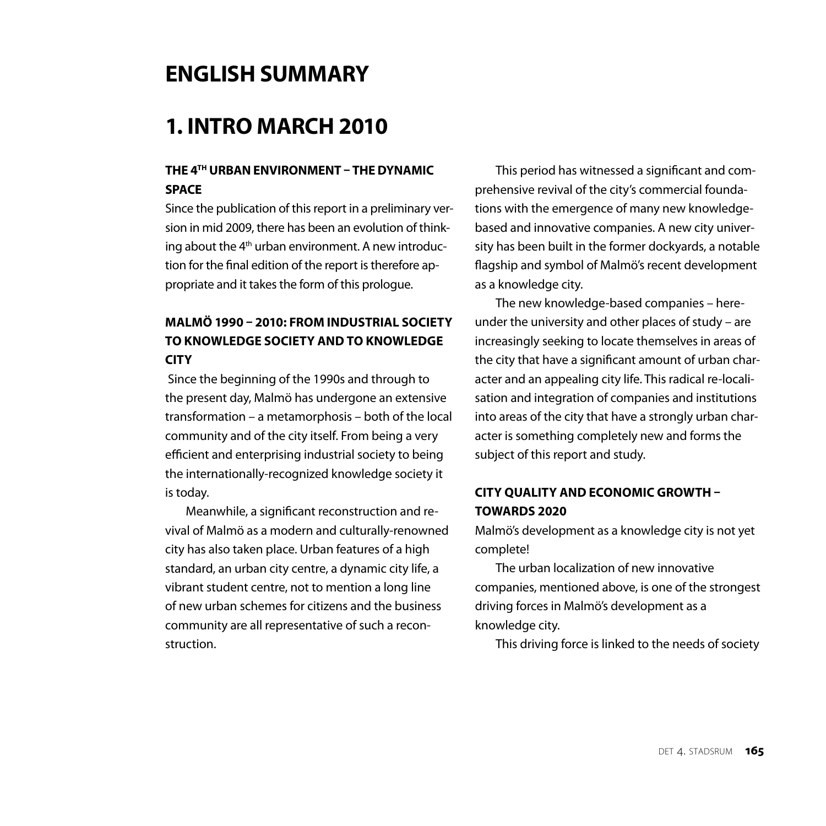# **english summary**

# **1. INTRO MARCH 2010**

# **the 4th URBANENVIRONMENT – THEDYNAMIC SPACE**

Since the publication of this report in a preliminary version in mid 2009, there has been an evolution of thinking about the  $4<sup>th</sup>$  urban environment. A new introduction for the final edition of the report is therefore appropriate and it takes the form of this prologue.

# **MALMö 1990 – 2010: FROM INDUSTRIAL SOCIETY TO KNOWLEDGE SOCIETY AND TO KNOWLEDGE CITY**

 Since the beginning of the 1990s and through to the present day, Malmö has undergone an extensive transformation – a metamorphosis – both of the local community and of the city itself. From being a very efficient and enterprising industrial society to being the internationally-recognized knowledge society it is today.

Meanwhile, a significant reconstruction and revival of Malmö as a modern and culturally-renowned city has also taken place. Urban features of a high standard, an urban city centre, a dynamic city life, a vibrant student centre, not to mention a long line of new urban schemes for citizens and the business community are all representative of such a reconstruction.

This period has witnessed a significant and comprehensive revival of the city's commercial foundations with the emergence of many new knowledgebased and innovative companies. A new city university has been built in the former dockyards, a notable flagship and symbol of Malmö's recent development as a knowledge city.

The new knowledge-based companies – hereunder the university and other places of study – are increasingly seeking to locate themselves in areas of the city that have a significant amount of urban character and an appealing city life. This radical re-localisation and integration of companies and institutions into areas of the city that have a strongly urban character is something completely new and forms the subject of this report and study.

# **CITY QUALITY AND ECONOMIC GROWTH – TOWARDS 2020**

Malmö's development as a knowledge city is not yet complete!

The urban localization of new innovative companies, mentioned above, is one of the strongest driving forces in Malmö's development as a knowledge city.

This driving force is linked to the needs of society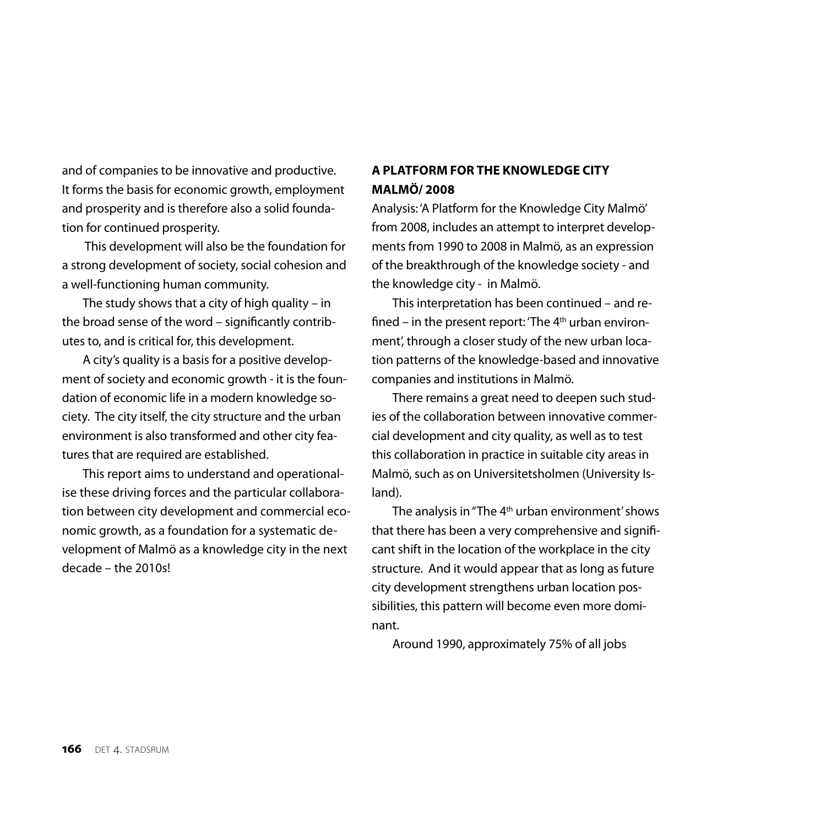and of companies to be innovative and productive. It forms the basis for economic growth, employment and prosperity and is therefore also a solid foundation for continued prosperity.

 This development will also be the foundation for a strong development of society, social cohesion and a well-functioning human community.

The study shows that a city of high quality – in the broad sense of the word – significantly contributes to, and is critical for, this development.

A city's quality is a basis for a positive development of society and economic growth - it is the foundation of economic life in a modern knowledge society. The city itself, the city structure and the urban environment is also transformed and other city features that are required are established.

This report aims to understand and operationalise these driving forces and the particular collaboration between city development and commercial economic growth, as a foundation for a systematic development of Malmö as a knowledge city in the next decade – the 2010s!

## **A PLATFORM FOR THE KNOWLEDGE CITY Malmö/ 2008**

Analysis: 'A Platform for the Knowledge City Malmö' from 2008, includes an attempt to interpret developments from 1990 to 2008 in Malmö, as an expression of the breakthrough of the knowledge society - and the knowledge city - in Malmö.

This interpretation has been continued – and refined – in the present report: 'The  $4<sup>th</sup>$  urban environment', through a closer study of the new urban location patterns of the knowledge-based and innovative companies and institutions in Malmö.

There remains a great need to deepen such studies of the collaboration between innovative commercial development and city quality, as well as to test this collaboration in practice in suitable city areas in Malmö, such as on Universitetsholmen (University Island).

The analysis in "The  $4<sup>th</sup>$  urban environment' shows that there has been a very comprehensive and significant shift in the location of the workplace in the city structure. And it would appear that as long as future city development strengthens urban location possibilities, this pattern will become even more dominant.

Around 1990, approximately 75% of all jobs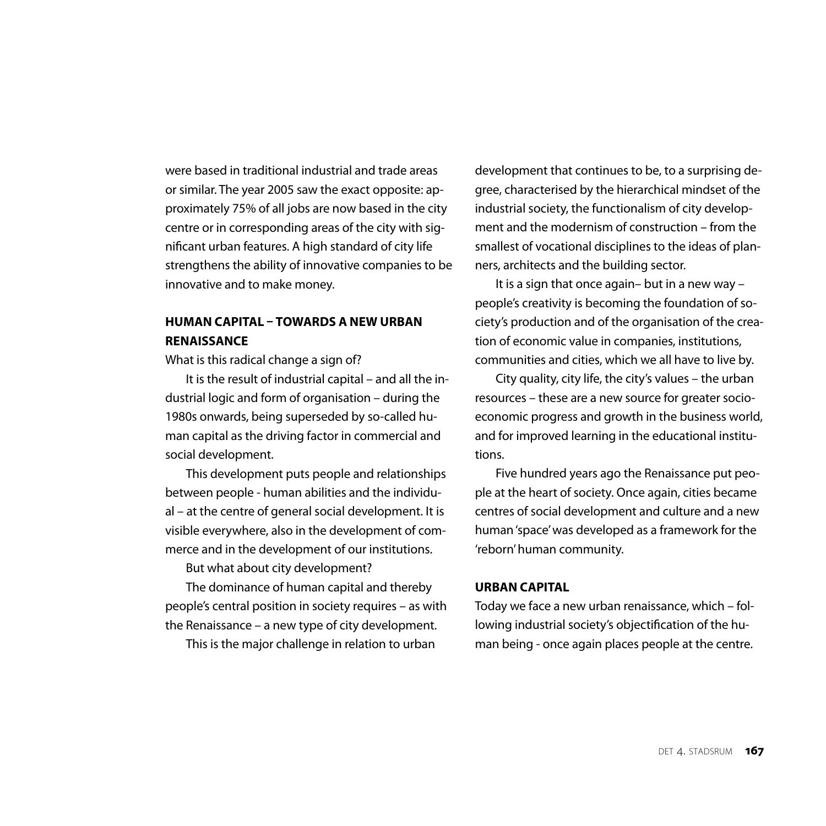were based in traditional industrial and trade areas or similar. The year 2005 saw the exact opposite: approximately 75% of all jobs are now based in the city centre or in corresponding areas of the city with significant urban features. A high standard of city life strengthens the ability of innovative companies to be innovative and to make money.

# **HUMAN CAPITAL – TOWARDS A NEW URBAN RENAISSANCE**

What is this radical change a sign of?

It is the result of industrial capital – and all the industrial logic and form of organisation – during the 1980s onwards, being superseded by so-called human capital as the driving factor in commercial and social development.

This development puts people and relationships between people - human abilities and the individual – at the centre of general social development. It is visible everywhere, also in the development of commerce and in the development of our institutions.

But what about city development?

The dominance of human capital and thereby people's central position in society requires – as with the Renaissance – a new type of city development.

This is the major challenge in relation to urban

development that continues to be, to a surprising degree, characterised by the hierarchical mindset of the industrial society, the functionalism of city development and the modernism of construction – from the smallest of vocational disciplines to the ideas of planners, architects and the building sector.

It is a sign that once again– but in a new way – people's creativity is becoming the foundation of society's production and of the organisation of the creation of economic value in companies, institutions, communities and cities, which we all have to live by.

City quality, city life, the city's values – the urban resources – these are a new source for greater socioeconomic progress and growth in the business world, and for improved learning in the educational institutions.

Five hundred years ago the Renaissance put people at the heart of society. Once again, cities became centres of social development and culture and a new human 'space' was developed as a framework for the 'reborn' human community.

## **URBAN CAPITAL**

Today we face a new urban renaissance, which – following industrial society's objectification of the human being - once again places people at the centre.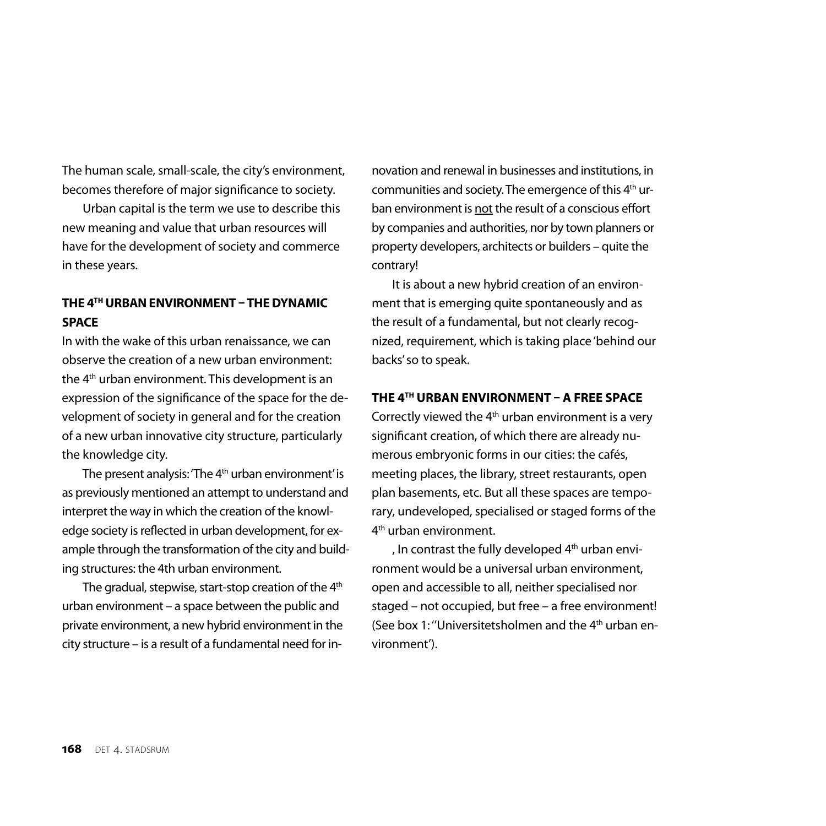The human scale, small-scale, the city's environment, becomes therefore of major significance to society.

Urban capital is the term we use to describe this new meaning and value that urban resources will have for the development of society and commerce in these years.

## **THE 4TH URBANENVIRONMENT – THEDYNAMIC space**

In with the wake of this urban renaissance, we can observe the creation of a new urban environment: the 4th urban environment. This development is an expression of the significance of the space for the development of society in general and for the creation of a new urban innovative city structure, particularly the knowledge city.

The present analysis: 'The 4<sup>th</sup> urban environment' is as previously mentioned an attempt to understand and interpret the way in which the creation of the knowledge society is reflected in urban development, for example through the transformation of the city and building structures: the 4th urban environment.

The gradual, stepwise, start-stop creation of the 4<sup>th</sup> urban environment – a space between the public and private environment, a new hybrid environment in the city structure – is a result of a fundamental need for in-

novation and renewal in businesses and institutions, in communities and society. The emergence of this 4<sup>th</sup> urban environment is not the result of a conscious effort by companies and authorities, nor by town planners or property developers, architects or builders – quite the contrary!

It is about a new hybrid creation of an environment that is emerging quite spontaneously and as the result of a fundamental, but not clearly recognized, requirement, which is taking place 'behind our backs' so to speak.

### **THE 4TH URBAN ENVIRONMENT – A FREE SPACE**

Correctly viewed the  $4<sup>th</sup>$  urban environment is a very significant creation, of which there are already numerous embryonic forms in our cities: the cafés, meeting places, the library, street restaurants, open plan basements, etc. But all these spaces are temporary, undeveloped, specialised or staged forms of the 4<sup>th</sup> urban environment.

, In contrast the fully developed 4<sup>th</sup> urban environment would be a universal urban environment, open and accessible to all, neither specialised nor staged – not occupied, but free – a free environment! (See box 1: ''Universitetsholmen and the 4th urban environment').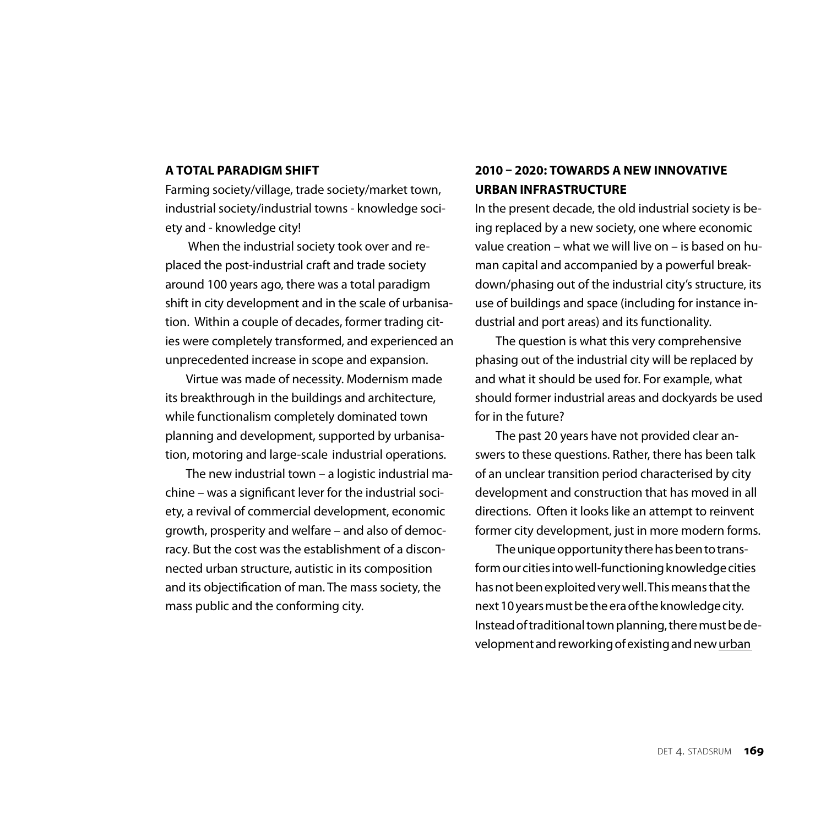## **A TOTAL PARADIGM SHIFT**

Farming society/village, trade society/market town, industrial society/industrial towns - knowledge society and - knowledge city!

 When the industrial society took over and replaced the post-industrial craft and trade society around 100 years ago, there was a total paradigm shift in city development and in the scale of urbanisation. Within a couple of decades, former trading cities were completely transformed, and experienced an unprecedented increase in scope and expansion.

Virtue was made of necessity. Modernism made its breakthrough in the buildings and architecture, while functionalism completely dominated town planning and development, supported by urbanisation, motoring and large-scale industrial operations.

The new industrial town – a logistic industrial machine – was a significant lever for the industrial society, a revival of commercial development, economic growth, prosperity and welfare – and also of democracy. But the cost was the establishment of a disconnected urban structure, autistic in its composition and its objectification of man. The mass society, the mass public and the conforming city.

# **2010 – 2020: TOWARDS A NEW INNOVATIVE URBAN INFRASTRUCTURE**

In the present decade, the old industrial society is being replaced by a new society, one where economic value creation – what we will live on – is based on human capital and accompanied by a powerful breakdown/phasing out of the industrial city's structure, its use of buildings and space (including for instance industrial and port areas) and its functionality.

The question is what this very comprehensive phasing out of the industrial city will be replaced by and what it should be used for. For example, what should former industrial areas and dockyards be used for in the future?

The past 20 years have not provided clear answers to these questions. Rather, there has been talk of an unclear transition period characterised by city development and construction that has moved in all directions. Often it looks like an attempt to reinvent former city development, just in more modern forms.

The unique opportunity there has been to transform our cities into well-functioning knowledge cities has not been exploited very well. This means that the next 10 years must be the era of the knowledge city. Instead of traditional town planning, there must be development and reworking of existing and new urban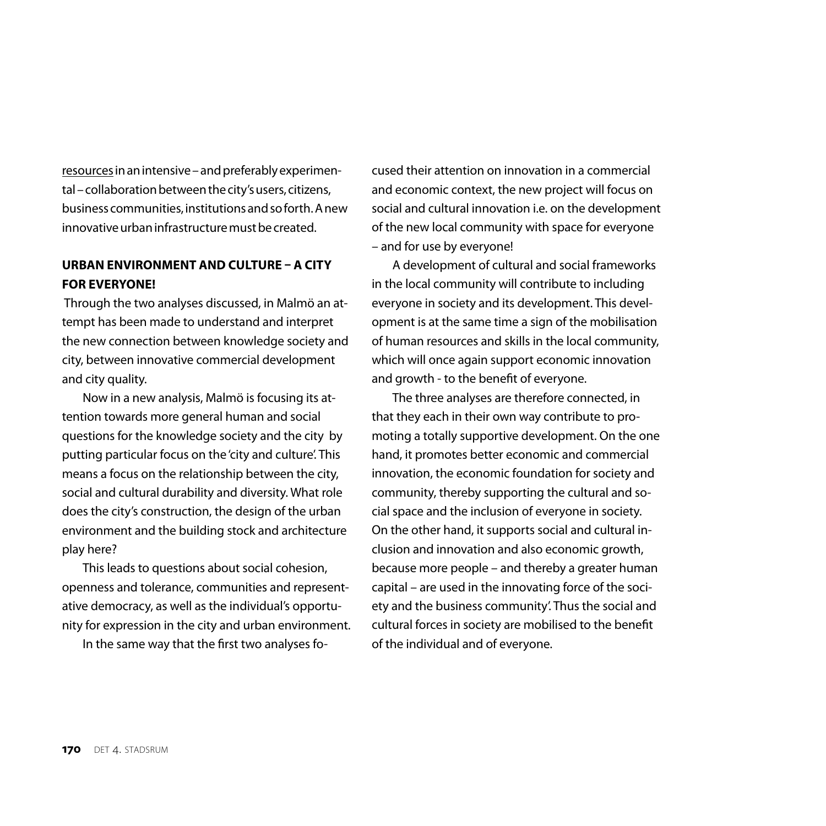resources in an intensive – and preferably experimental – collaboration between the city's users, citizens, business communities, institutions and so forth. A new innovative urban infrastructure must be created.

## **URBAN ENVIRONMENT AND CULTURE – A CITY FOR EVERYONE!**

 Through the two analyses discussed, in Malmö an attempt has been made to understand and interpret the new connection between knowledge society and city, between innovative commercial development and city quality.

Now in a new analysis, Malmö is focusing its attention towards more general human and social questions for the knowledge society and the city by putting particular focus on the 'city and culture'. This means a focus on the relationship between the city, social and cultural durability and diversity. What role does the city's construction, the design of the urban environment and the building stock and architecture play here?

This leads to questions about social cohesion, openness and tolerance, communities and representative democracy, as well as the individual's opportunity for expression in the city and urban environment.

In the same way that the first two analyses fo-

cused their attention on innovation in a commercial and economic context, the new project will focus on social and cultural innovation i.e. on the development of the new local community with space for everyone – and for use by everyone!

A development of cultural and social frameworks in the local community will contribute to including everyone in society and its development. This development is at the same time a sign of the mobilisation of human resources and skills in the local community, which will once again support economic innovation and growth - to the benefit of everyone.

The three analyses are therefore connected, in that they each in their own way contribute to promoting a totally supportive development. On the one hand, it promotes better economic and commercial innovation, the economic foundation for society and community, thereby supporting the cultural and social space and the inclusion of everyone in society. On the other hand, it supports social and cultural inclusion and innovation and also economic growth, because more people – and thereby a greater human capital – are used in the innovating force of the society and the business community'. Thus the social and cultural forces in society are mobilised to the benefit of the individual and of everyone.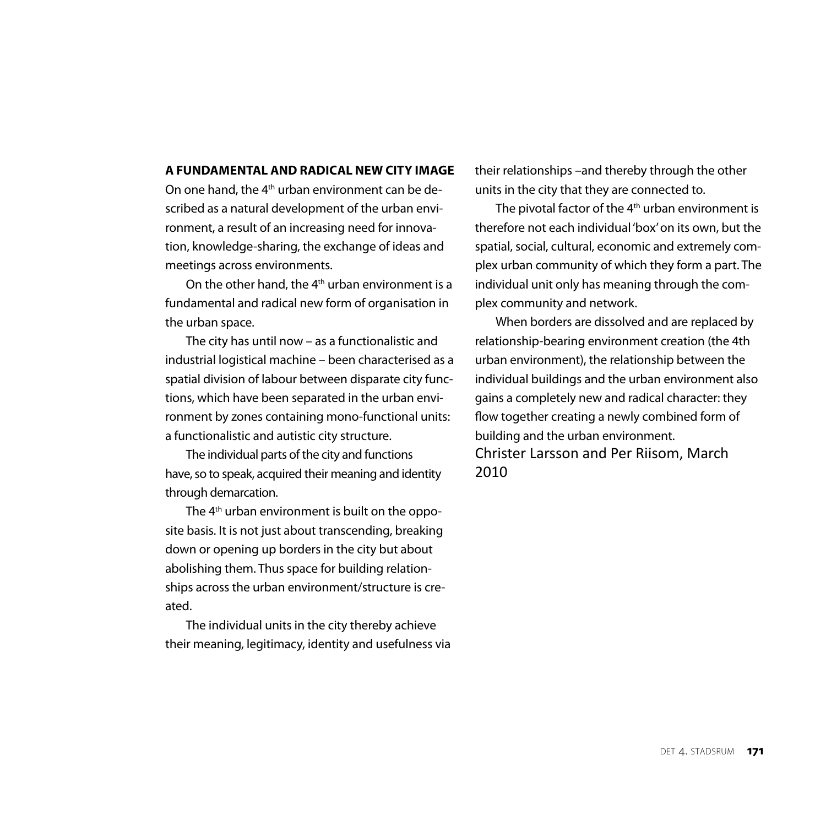#### **A fundamental AND RADICAL NEW CITY IMAGE**

On one hand, the 4<sup>th</sup> urban environment can be described as a natural development of the urban environment, a result of an increasing need for innovation, knowledge-sharing, the exchange of ideas and meetings across environments.

On the other hand, the 4th urban environment is a fundamental and radical new form of organisation in the urban space.

The city has until now – as a functionalistic and industrial logistical machine – been characterised as a spatial division of labour between disparate city functions, which have been separated in the urban environment by zones containing mono-functional units: a functionalistic and autistic city structure.

The individual parts of the city and functions have, so to speak, acquired their meaning and identity through demarcation.

The 4<sup>th</sup> urban environment is built on the opposite basis. It is not just about transcending, breaking down or opening up borders in the city but about abolishing them. Thus space for building relationships across the urban environment/structure is created.

The individual units in the city thereby achieve their meaning, legitimacy, identity and usefulness via their relationships –and thereby through the other units in the city that they are connected to.

The pivotal factor of the  $4<sup>th</sup>$  urban environment is therefore not each individual 'box' on its own, but the spatial, social, cultural, economic and extremely complex urban community of which they form a part. The individual unit only has meaning through the complex community and network.

When borders are dissolved and are replaced by relationship-bearing environment creation (the 4th urban environment), the relationship between the individual buildings and the urban environment also gains a completely new and radical character: they flow together creating a newly combined form of building and the urban environment. Christer Larsson and Per Riisom, March 2010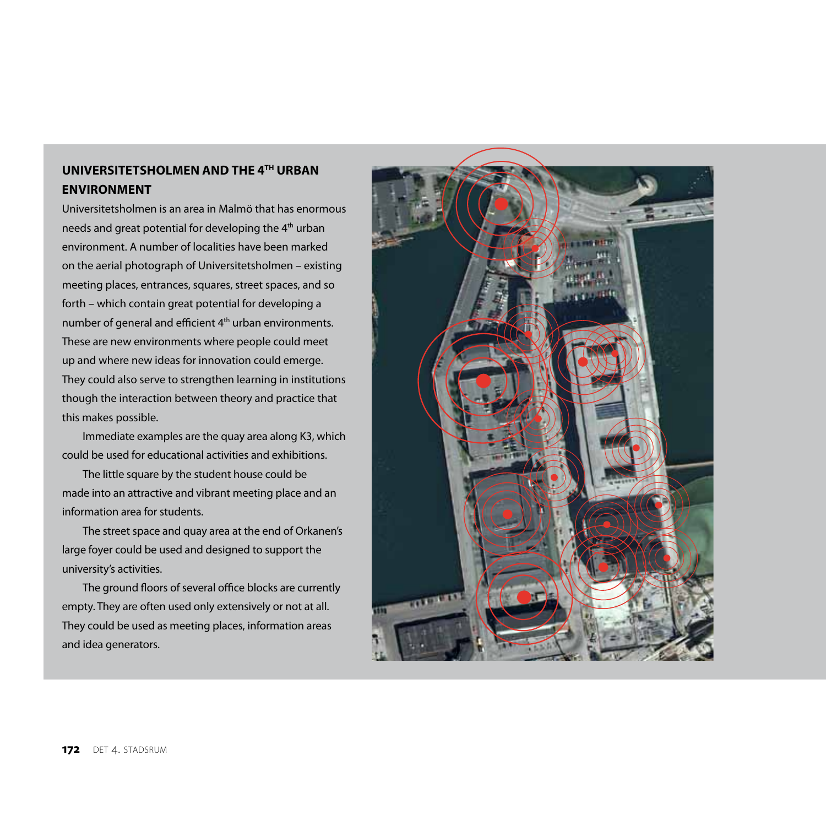# **UNIVERSITETSHOLMEN AND the 4TH urban environment**

Universitetsholmen is an area in Malmö that has enormous needs and great potential for developing the 4th urban environment. A number of localities have been marked on the aerial photograph of Universitetsholmen – existing meeting places, entrances, squares, street spaces, and so forth – which contain great potential for developing a number of general and efficient 4<sup>th</sup> urban environments. These are new environments where people could meet up and where new ideas for innovation could emerge. They could also serve to strengthen learning in institutions though the interaction between theory and practice that this makes possible.

Immediate examples are the quay area along K3, which could be used for educational activities and exhibitions.

The little square by the student house could be made into an attractive and vibrant meeting place and an information area for students.

The street space and quay area at the end of Orkanen's large foyer could be used and designed to support the university's activities.

The ground floors of several office blocks are currently empty. They are often used only extensively or not at all. They could be used as meeting places, information areas and idea generators.

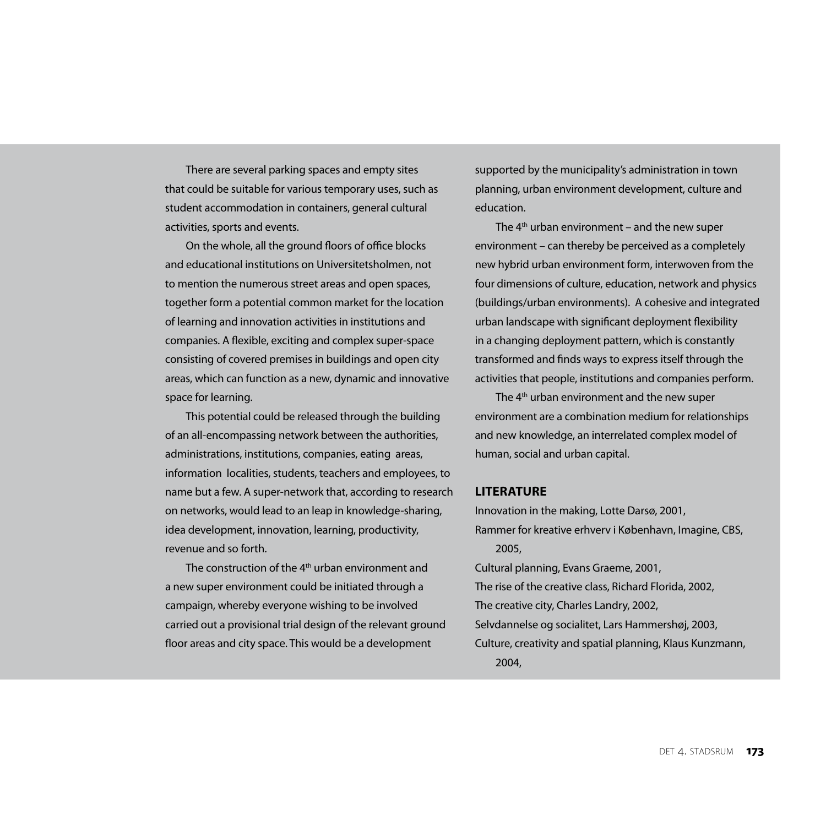There are several parking spaces and empty sites that could be suitable for various temporary uses, such as student accommodation in containers, general cultural activities, sports and events.

On the whole, all the ground floors of office blocks and educational institutions on Universitetsholmen, not to mention the numerous street areas and open spaces, together form a potential common market for the location of learning and innovation activities in institutions and companies. A flexible, exciting and complex super-space consisting of covered premises in buildings and open city areas, which can function as a new, dynamic and innovative space for learning.

This potential could be released through the building of an all-encompassing network between the authorities, administrations, institutions, companies, eating areas, information localities, students, teachers and employees, to name but a few. A super-network that, according to research on networks, would lead to an leap in knowledge-sharing, idea development, innovation, learning, productivity, revenue and so forth.

The construction of the 4<sup>th</sup> urban environment and a new super environment could be initiated through a campaign, whereby everyone wishing to be involved carried out a provisional trial design of the relevant ground floor areas and city space. This would be a development

supported by the municipality's administration in town planning, urban environment development, culture and education.

The  $4<sup>th</sup>$  urban environment – and the new super environment – can thereby be perceived as a completely new hybrid urban environment form, interwoven from the four dimensions of culture, education, network and physics (buildings/urban environments). A cohesive and integrated urban landscape with significant deployment flexibility in a changing deployment pattern, which is constantly transformed and finds ways to express itself through the activities that people, institutions and companies perform.

The  $4<sup>th</sup>$  urban environment and the new super environment are a combination medium for relationships and new knowledge, an interrelated complex model of human, social and urban capital.

#### **Literature**

Innovation in the making, Lotte Darsø, 2001,

Rammer for kreative erhverv i København, Imagine, CBS, 2005,

Cultural planning, Evans Graeme, 2001,

The rise of the creative class, Richard Florida, 2002,

The creative city, Charles Landry, 2002,

- Selvdannelse og socialitet, Lars Hammershøj, 2003,
- Culture, creativity and spatial planning, Klaus Kunzmann, 2004,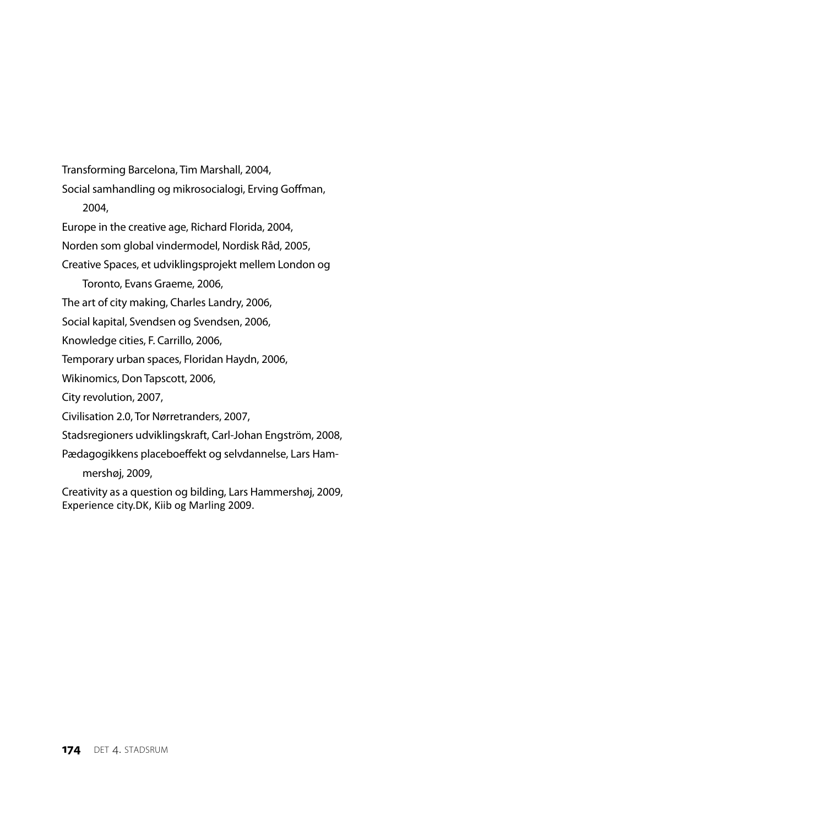Transforming Barcelona, Tim Marshall, 2004, Social samhandling og mikrosocialogi, Erving Goffman, 2004, Europe in the creative age, Richard Florida, 2004, Norden som global vindermodel, Nordisk Råd, 2005, Creative Spaces, et udviklingsprojekt mellem London og Toronto, Evans Graeme, 2006, The art of city making, Charles Landry, 2006, Social kapital, Svendsen og Svendsen, 2006, Knowledge cities, F. Carrillo, 2006, Temporary urban spaces, Floridan Haydn, 2006, Wikinomics, Don Tapscott, 2006, City revolution, 2007, Civilisation 2.0, Tor Nørretranders, 2007, Stadsregioners udviklingskraft, Carl-Johan Engström, 2008, Pædagogikkens placeboeffekt og selvdannelse, Lars Hammershøj, 2009, Creativity as a question og bilding, Lars Hammershøj, 2009, Experience city.DK, Kiib og Marling 2009.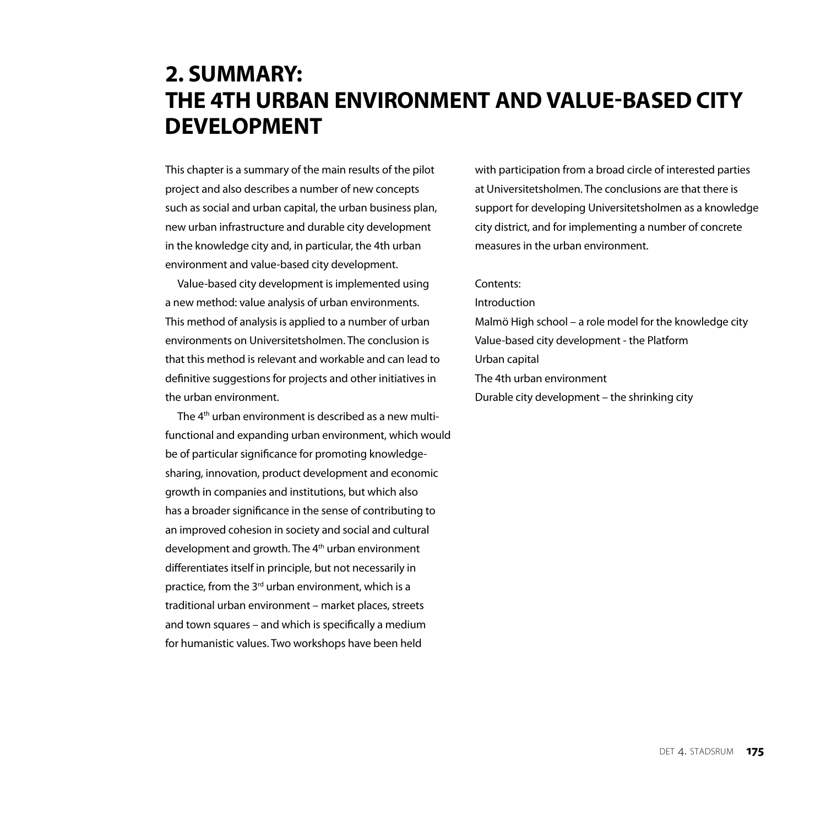# **2. SUMMARY: THE 4th URBAN ENVIRONMENT AND VALUE-BASED CITY DEVELOPMENT**

This chapter is a summary of the main results of the pilot project and also describes a number of new concepts such as social and urban capital, the urban business plan, new urban infrastructure and durable city development in the knowledge city and, in particular, the 4th urban environment and value-based city development.

Value-based city development is implemented using a new method: value analysis of urban environments. This method of analysis is applied to a number of urban environments on Universitetsholmen. The conclusion is that this method is relevant and workable and can lead to definitive suggestions for projects and other initiatives in the urban environment.

The 4<sup>th</sup> urban environment is described as a new multifunctional and expanding urban environment, which would be of particular significance for promoting knowledgesharing, innovation, product development and economic growth in companies and institutions, but which also has a broader significance in the sense of contributing to an improved cohesion in society and social and cultural development and growth. The 4<sup>th</sup> urban environment differentiates itself in principle, but not necessarily in practice, from the 3<sup>rd</sup> urban environment, which is a traditional urban environment – market places, streets and town squares – and which is specifically a medium for humanistic values. Two workshops have been held

with participation from a broad circle of interested parties at Universitetsholmen. The conclusions are that there is support for developing Universitetsholmen as a knowledge city district, and for implementing a number of concrete measures in the urban environment.

#### Contents:

Introduction

Malmö High school – a role model for the knowledge city Value-based city development - the Platform Urban capital The 4th urban environment Durable city development – the shrinking city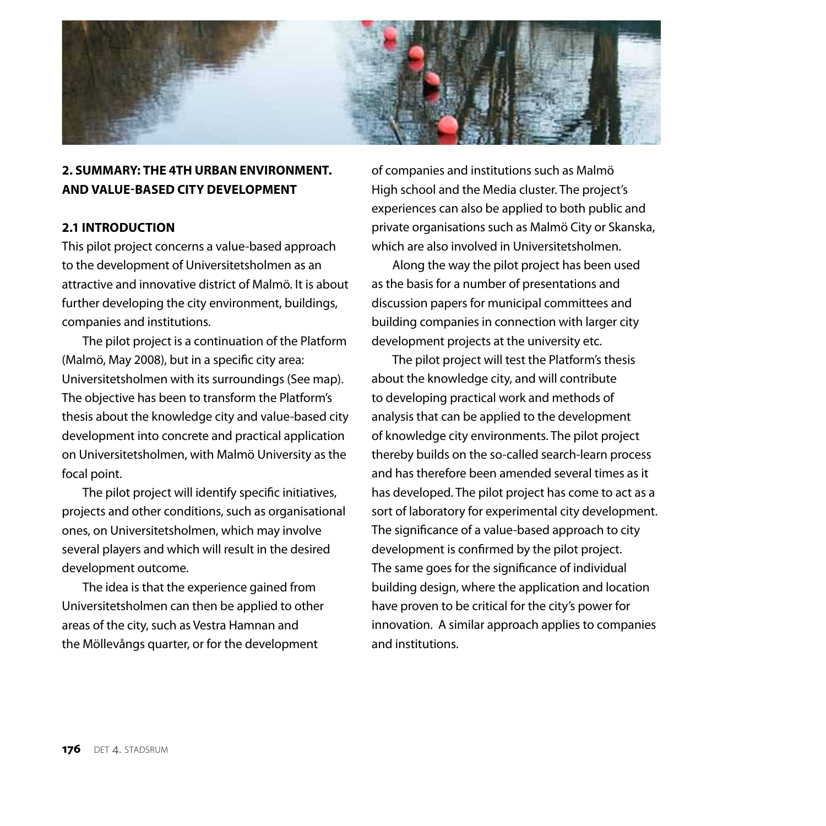

# **2. SUMMARY: the 4th urban environment. and value-based city development**

## **2.1 Introduction**

This pilot project concerns a value-based approach to the development of Universitetsholmen as an attractive and innovative district of Malmö. It is about further developing the city environment, buildings, companies and institutions.

The pilot project is a continuation of the Platform (Malmö, May 2008), but in a specific city area: Universitetsholmen with its surroundings (See map). The objective has been to transform the Platform's thesis about the knowledge city and value-based city development into concrete and practical application on Universitetsholmen, with Malmö University as the focal point.

The pilot project will identify specific initiatives, projects and other conditions, such as organisational ones, on Universitetsholmen, which may involve several players and which will result in the desired development outcome.

The idea is that the experience gained from Universitetsholmen can then be applied to other areas of the city, such as Vestra Hamnan and the Möllevångs quarter, or for the development

of companies and institutions such as Malmö High school and the Media cluster. The project's experiences can also be applied to both public and private organisations such as Malmö City or Skanska, which are also involved in Universitetsholmen.

Along the way the pilot project has been used as the basis for a number of presentations and discussion papers for municipal committees and building companies in connection with larger city development projects at the university etc.

The pilot project will test the Platform's thesis about the knowledge city, and will contribute to developing practical work and methods of analysis that can be applied to the development of knowledge city environments. The pilot project thereby builds on the so-called search-learn process and has therefore been amended several times as it has developed. The pilot project has come to act as a sort of laboratory for experimental city development. The significance of a value-based approach to city development is confirmed by the pilot project. The same goes for the significance of individual building design, where the application and location have proven to be critical for the city's power for innovation. A similar approach applies to companies and institutions.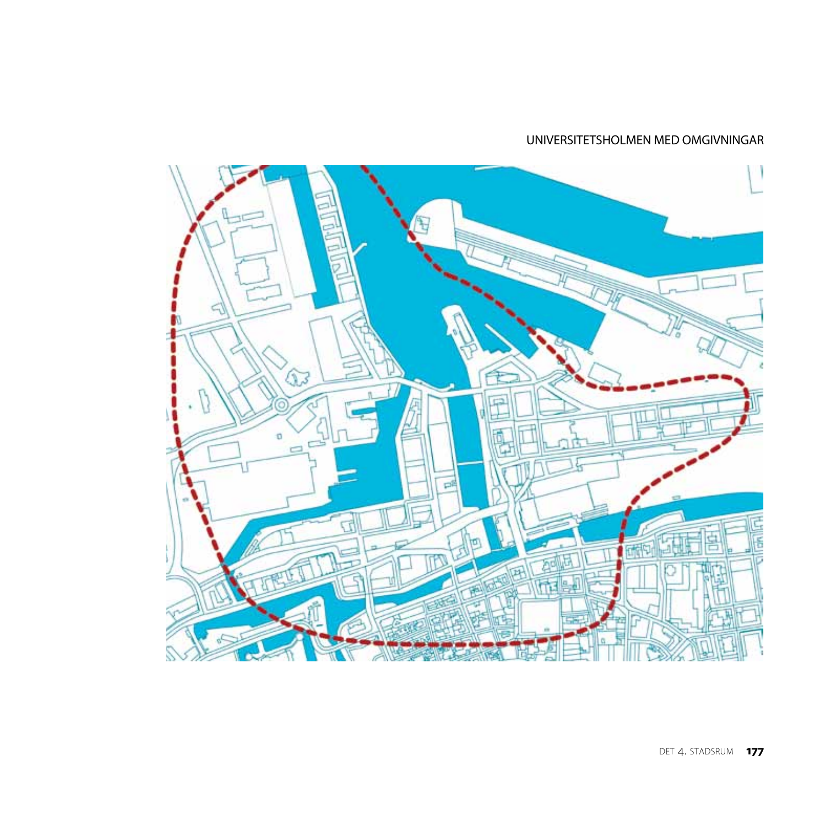## UNIVERSITETSHOLMEN MED OMGIVNINGAR

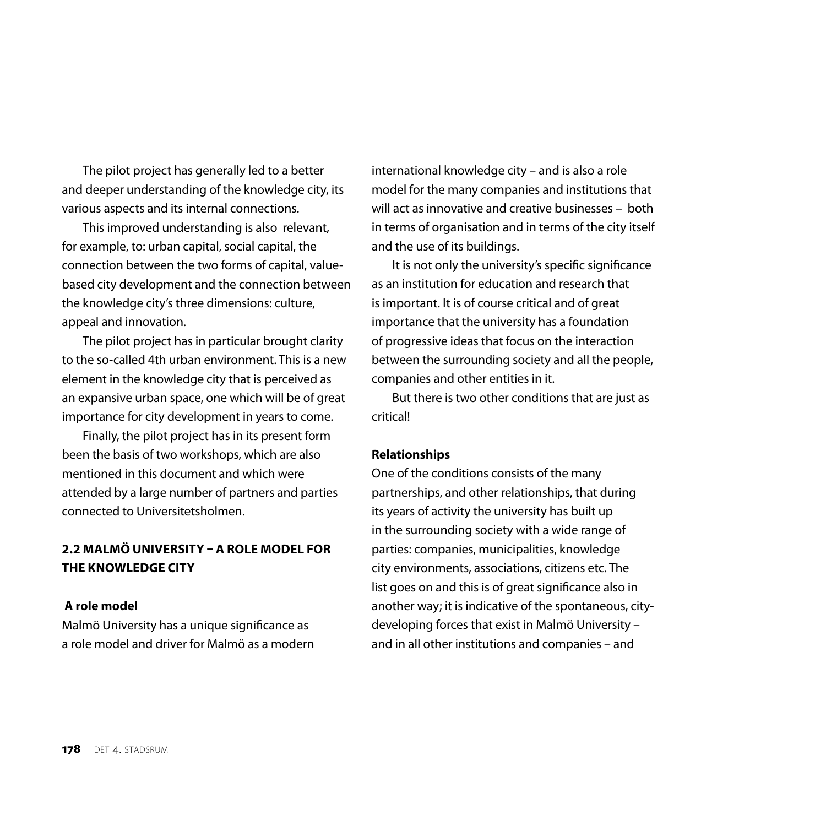The pilot project has generally led to a better and deeper understanding of the knowledge city, its various aspects and its internal connections.

This improved understanding is also relevant, for example, to: urban capital, social capital, the connection between the two forms of capital, valuebased city development and the connection between the knowledge city's three dimensions: culture, appeal and innovation.

The pilot project has in particular brought clarity to the so-called 4th urban environment. This is a new element in the knowledge city that is perceived as an expansive urban space, one which will be of great importance for city development in years to come.

Finally, the pilot project has in its present form been the basis of two workshops, which are also mentioned in this document and which were attended by a large number of partners and parties connected to Universitetsholmen.

# **2.2 malmÖ university – A ROLE MODEL FOR THE KNOWLEDGE CITY**

## **A role model**

Malmö University has a unique significance as a role model and driver for Malmö as a modern international knowledge city – and is also a role model for the many companies and institutions that will act as innovative and creative businesses – both in terms of organisation and in terms of the city itself and the use of its buildings.

It is not only the university's specific significance as an institution for education and research that is important. It is of course critical and of great importance that the university has a foundation of progressive ideas that focus on the interaction between the surrounding society and all the people, companies and other entities in it.

But there is two other conditions that are just as critical!

## **Relationships**

One of the conditions consists of the many partnerships, and other relationships, that during its years of activity the university has built up in the surrounding society with a wide range of parties: companies, municipalities, knowledge city environments, associations, citizens etc. The list goes on and this is of great significance also in another way; it is indicative of the spontaneous, citydeveloping forces that exist in Malmö University – and in all other institutions and companies – and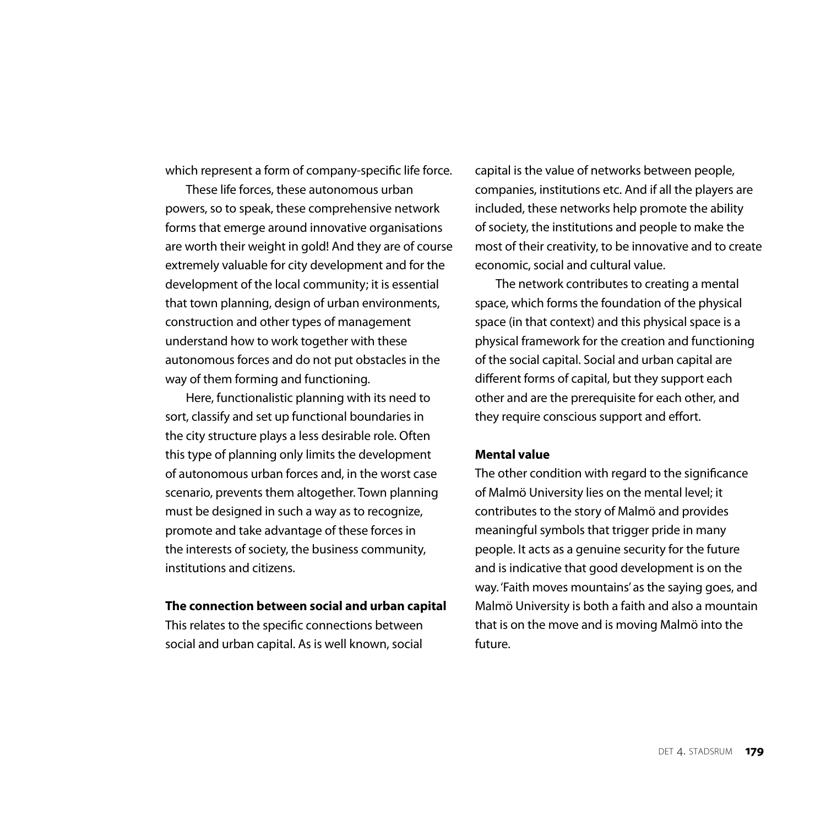which represent a form of company-specific life force.

These life forces, these autonomous urban powers, so to speak, these comprehensive network forms that emerge around innovative organisations are worth their weight in gold! And they are of course extremely valuable for city development and for the development of the local community; it is essential that town planning, design of urban environments, construction and other types of management understand how to work together with these autonomous forces and do not put obstacles in the way of them forming and functioning.

Here, functionalistic planning with its need to sort, classify and set up functional boundaries in the city structure plays a less desirable role. Often this type of planning only limits the development of autonomous urban forces and, in the worst case scenario, prevents them altogether. Town planning must be designed in such a way as to recognize, promote and take advantage of these forces in the interests of society, the business community, institutions and citizens.

#### **The connection between social and urban capital**

This relates to the specific connections between social and urban capital. As is well known, social capital is the value of networks between people, companies, institutions etc. And if all the players are included, these networks help promote the ability of society, the institutions and people to make the most of their creativity, to be innovative and to create economic, social and cultural value.

The network contributes to creating a mental space, which forms the foundation of the physical space (in that context) and this physical space is a physical framework for the creation and functioning of the social capital. Social and urban capital are different forms of capital, but they support each other and are the prerequisite for each other, and they require conscious support and effort.

#### **Mental value**

The other condition with regard to the significance of Malmö University lies on the mental level; it contributes to the story of Malmö and provides meaningful symbols that trigger pride in many people. It acts as a genuine security for the future and is indicative that good development is on the way. 'Faith moves mountains' as the saying goes, and Malmö University is both a faith and also a mountain that is on the move and is moving Malmö into the future.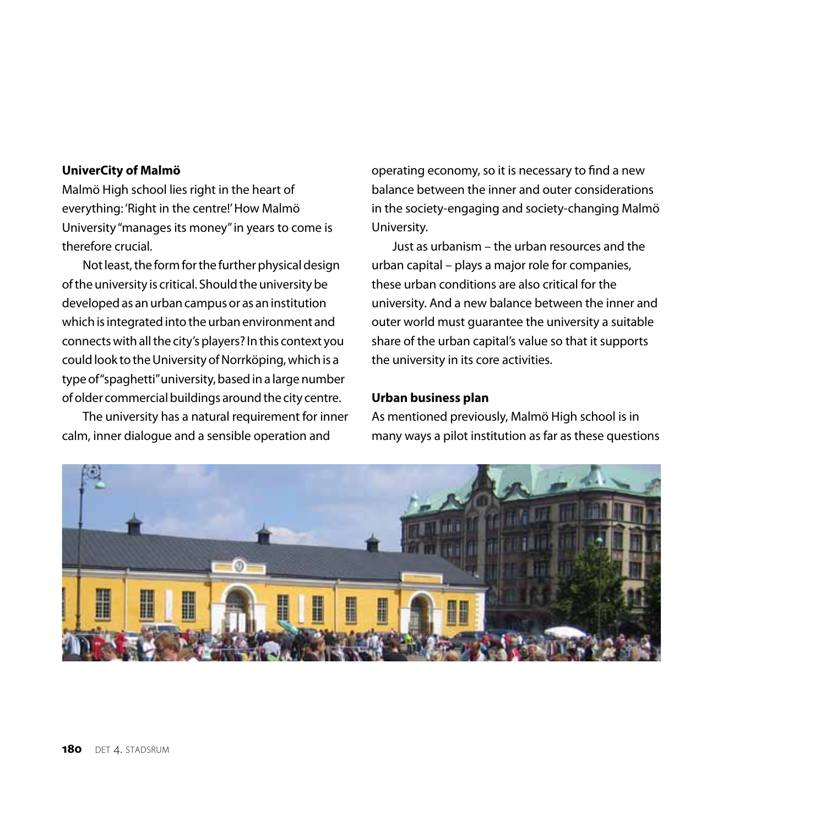#### **UniverCity of Malmö**

Malmö High school lies right in the heart of everything: 'Right in the centre!' How Malmö University "manages its money" in years to come is therefore crucial.

Not least, the form for the further physical design of the university is critical. Should the university be developed as an urban campus or as an institution which is integrated into the urban environment and connects with all the city's players? In this context you could look to the University of Norrköping, which is a type of "spaghetti" university, based in a large number of older commercial buildings around the city centre.

The university has a natural requirement for inner calm, inner dialogue and a sensible operation and

operating economy, so it is necessary to find a new balance between the inner and outer considerations in the society-engaging and society-changing Malmö University.

Just as urbanism – the urban resources and the urban capital – plays a major role for companies, these urban conditions are also critical for the university. And a new balance between the inner and outer world must guarantee the university a suitable share of the urban capital's value so that it supports the university in its core activities.

### **Urban business plan**

As mentioned previously, Malmö High school is in many ways a pilot institution as far as these questions

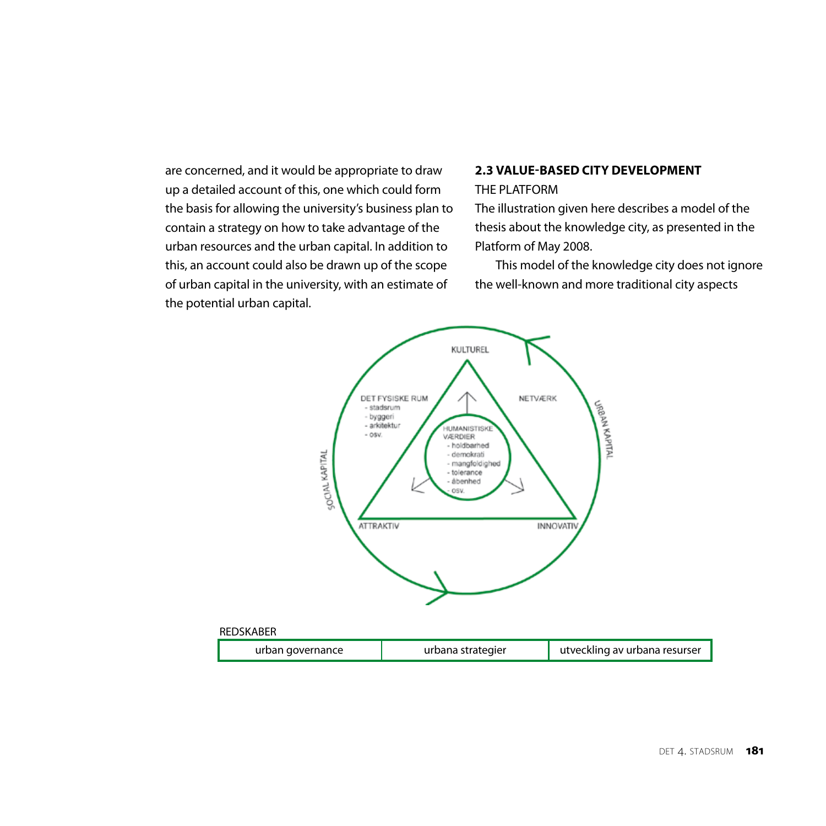are concerned, and it would be appropriate to draw up a detailed account of this, one which could form the basis for allowing the university's business plan to contain a strategy on how to take advantage of the urban resources and the urban capital. In addition to this, an account could also be drawn up of the scope of urban capital in the university, with an estimate of the potential urban capital.

# **2.3 VALUE-BASED CITY DEVELOPMENT**

## THE PLATFORM

The illustration given here describes a model of the thesis about the knowledge city, as presented in the Platform of May 2008.

This model of the knowledge city does not ignore the well-known and more traditional city aspects

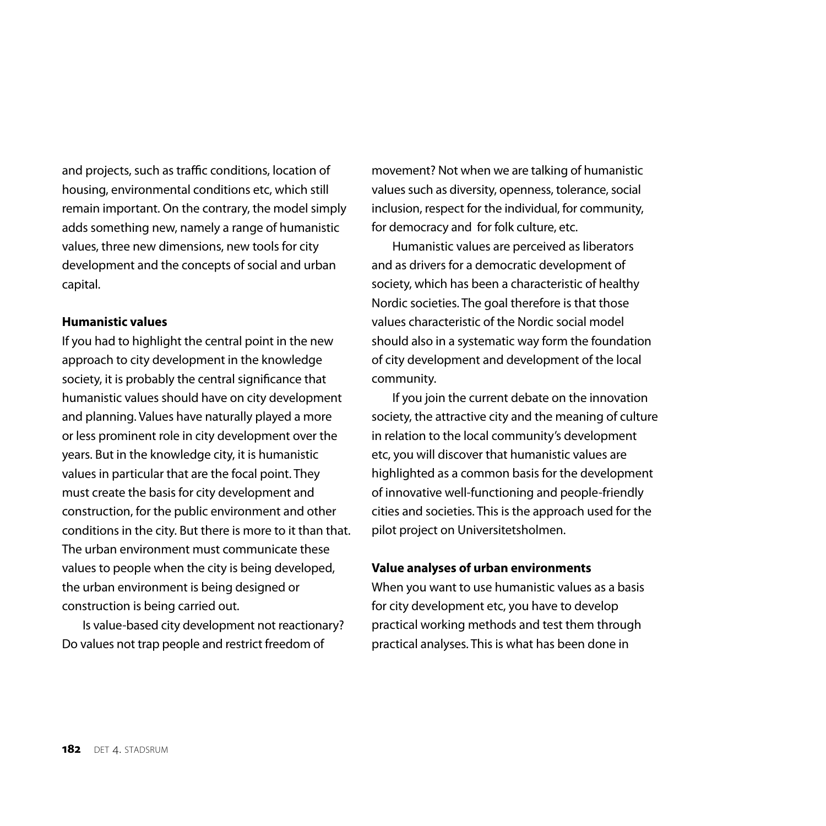and projects, such as traffic conditions, location of housing, environmental conditions etc, which still remain important. On the contrary, the model simply adds something new, namely a range of humanistic values, three new dimensions, new tools for city development and the concepts of social and urban capital.

## **Humanistic values**

If you had to highlight the central point in the new approach to city development in the knowledge society, it is probably the central significance that humanistic values should have on city development and planning. Values have naturally played a more or less prominent role in city development over the years. But in the knowledge city, it is humanistic values in particular that are the focal point. They must create the basis for city development and construction, for the public environment and other conditions in the city. But there is more to it than that. The urban environment must communicate these values to people when the city is being developed, the urban environment is being designed or construction is being carried out.

Is value-based city development not reactionary? Do values not trap people and restrict freedom of

movement? Not when we are talking of humanistic values such as diversity, openness, tolerance, social inclusion, respect for the individual, for community, for democracy and for folk culture, etc.

Humanistic values are perceived as liberators and as drivers for a democratic development of society, which has been a characteristic of healthy Nordic societies. The goal therefore is that those values characteristic of the Nordic social model should also in a systematic way form the foundation of city development and development of the local community.

If you join the current debate on the innovation society, the attractive city and the meaning of culture in relation to the local community's development etc, you will discover that humanistic values are highlighted as a common basis for the development of innovative well-functioning and people-friendly cities and societies. This is the approach used for the pilot project on Universitetsholmen.

#### **Value analyses of urban environments**

When you want to use humanistic values as a basis for city development etc, you have to develop practical working methods and test them through practical analyses. This is what has been done in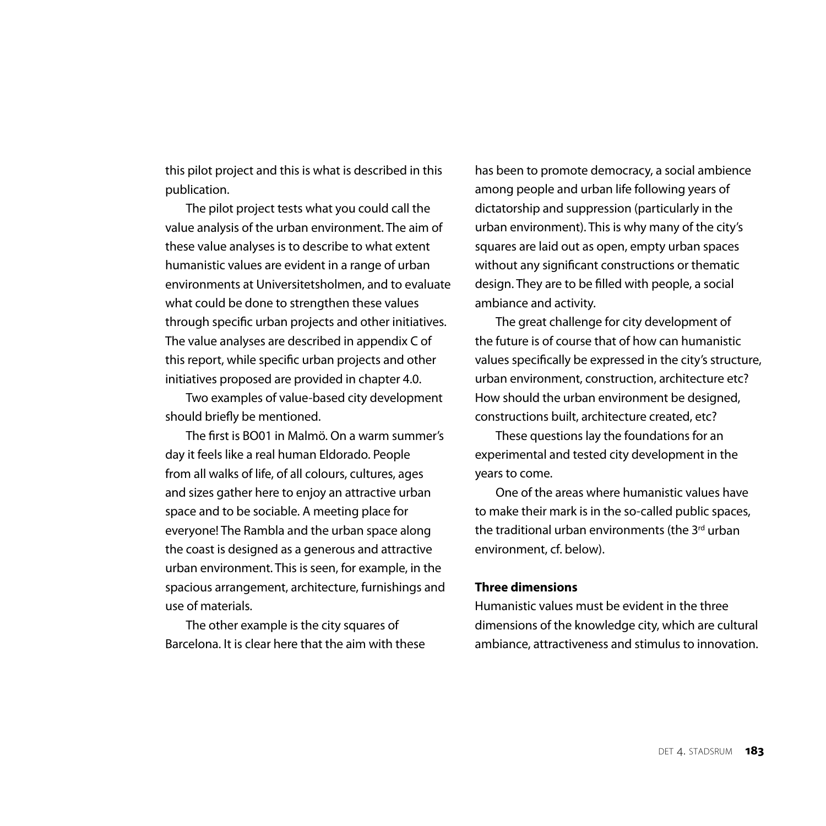this pilot project and this is what is described in this publication.

The pilot project tests what you could call the value analysis of the urban environment. The aim of these value analyses is to describe to what extent humanistic values are evident in a range of urban environments at Universitetsholmen, and to evaluate what could be done to strengthen these values through specific urban projects and other initiatives. The value analyses are described in appendix C of this report, while specific urban projects and other initiatives proposed are provided in chapter 4.0.

Two examples of value-based city development should briefly be mentioned.

The first is BO01 in Malmö. On a warm summer's day it feels like a real human Eldorado. People from all walks of life, of all colours, cultures, ages and sizes gather here to enjoy an attractive urban space and to be sociable. A meeting place for everyone! The Rambla and the urban space along the coast is designed as a generous and attractive urban environment. This is seen, for example, in the spacious arrangement, architecture, furnishings and use of materials.

The other example is the city squares of Barcelona. It is clear here that the aim with these has been to promote democracy, a social ambience among people and urban life following years of dictatorship and suppression (particularly in the urban environment). This is why many of the city's squares are laid out as open, empty urban spaces without any significant constructions or thematic design. They are to be filled with people, a social ambiance and activity.

The great challenge for city development of the future is of course that of how can humanistic values specifically be expressed in the city's structure, urban environment, construction, architecture etc? How should the urban environment be designed, constructions built, architecture created, etc?

These questions lay the foundations for an experimental and tested city development in the years to come.

One of the areas where humanistic values have to make their mark is in the so-called public spaces, the traditional urban environments (the 3<sup>rd</sup> urban environment, cf. below).

## **Three dimensions**

Humanistic values must be evident in the three dimensions of the knowledge city, which are cultural ambiance, attractiveness and stimulus to innovation.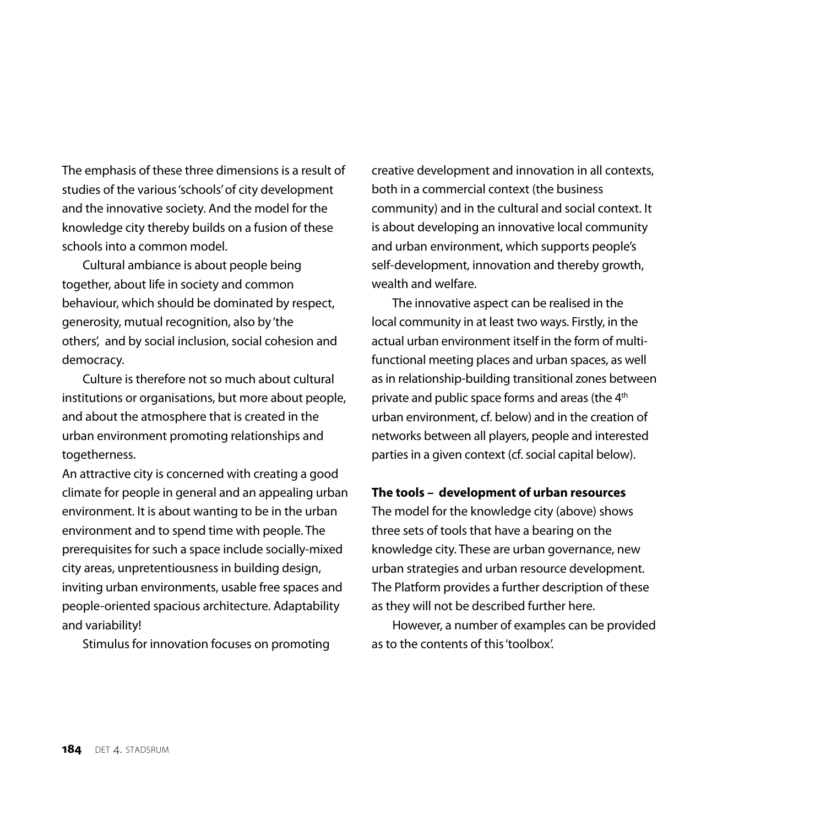The emphasis of these three dimensions is a result of studies of the various 'schools' of city development and the innovative society. And the model for the knowledge city thereby builds on a fusion of these schools into a common model.

Cultural ambiance is about people being together, about life in society and common behaviour, which should be dominated by respect, generosity, mutual recognition, also by 'the others', and by social inclusion, social cohesion and democracy.

Culture is therefore not so much about cultural institutions or organisations, but more about people, and about the atmosphere that is created in the urban environment promoting relationships and togetherness.

An attractive city is concerned with creating a good climate for people in general and an appealing urban environment. It is about wanting to be in the urban environment and to spend time with people. The prerequisites for such a space include socially-mixed city areas, unpretentiousness in building design, inviting urban environments, usable free spaces and people-oriented spacious architecture. Adaptability and variability!

Stimulus for innovation focuses on promoting

creative development and innovation in all contexts, both in a commercial context (the business community) and in the cultural and social context. It is about developing an innovative local community and urban environment, which supports people's self-development, innovation and thereby growth, wealth and welfare.

The innovative aspect can be realised in the local community in at least two ways. Firstly, in the actual urban environment itself in the form of multifunctional meeting places and urban spaces, as well as in relationship-building transitional zones between private and public space forms and areas (the 4<sup>th</sup> urban environment, cf. below) and in the creation of networks between all players, people and interested parties in a given context (cf. social capital below).

#### **The tools – development of urban resources**

The model for the knowledge city (above) shows three sets of tools that have a bearing on the knowledge city. These are urban governance, new urban strategies and urban resource development. The Platform provides a further description of these as they will not be described further here.

However, a number of examples can be provided as to the contents of this 'toolbox'.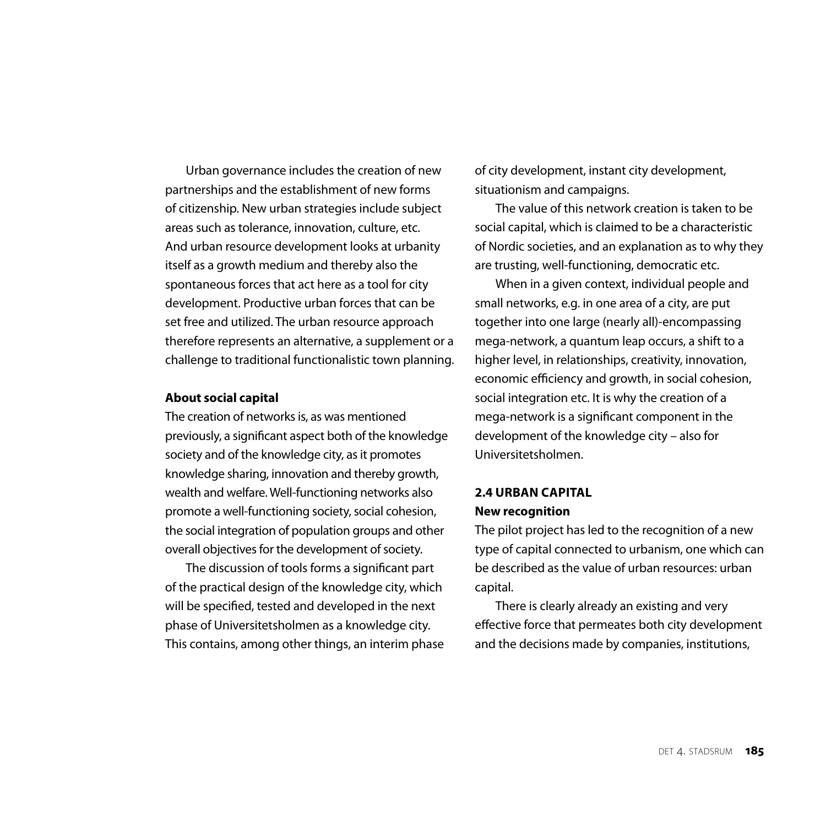Urban governance includes the creation of new partnerships and the establishment of new forms of citizenship. New urban strategies include subject areas such as tolerance, innovation, culture, etc. And urban resource development looks at urbanity itself as a growth medium and thereby also the spontaneous forces that act here as a tool for city development. Productive urban forces that can be set free and utilized. The urban resource approach therefore represents an alternative, a supplement or a challenge to traditional functionalistic town planning.

#### **About social capital**

The creation of networks is, as was mentioned previously, a significant aspect both of the knowledge society and of the knowledge city, as it promotes knowledge sharing, innovation and thereby growth, wealth and welfare. Well-functioning networks also promote a well-functioning society, social cohesion, the social integration of population groups and other overall objectives for the development of society.

The discussion of tools forms a significant part of the practical design of the knowledge city, which will be specified, tested and developed in the next phase of Universitetsholmen as a knowledge city. This contains, among other things, an interim phase of city development, instant city development, situationism and campaigns.

The value of this network creation is taken to be social capital, which is claimed to be a characteristic of Nordic societies, and an explanation as to why they are trusting, well-functioning, democratic etc.

When in a given context, individual people and small networks, e.g. in one area of a city, are put together into one large (nearly all)-encompassing mega-network, a quantum leap occurs, a shift to a higher level, in relationships, creativity, innovation, economic efficiency and growth, in social cohesion, social integration etc. It is why the creation of a mega-network is a significant component in the development of the knowledge city – also for Universitetsholmen.

## **2.4 Urban capital New recognition**

The pilot project has led to the recognition of a new type of capital connected to urbanism, one which can be described as the value of urban resources: urban capital.

There is clearly already an existing and very effective force that permeates both city development and the decisions made by companies, institutions,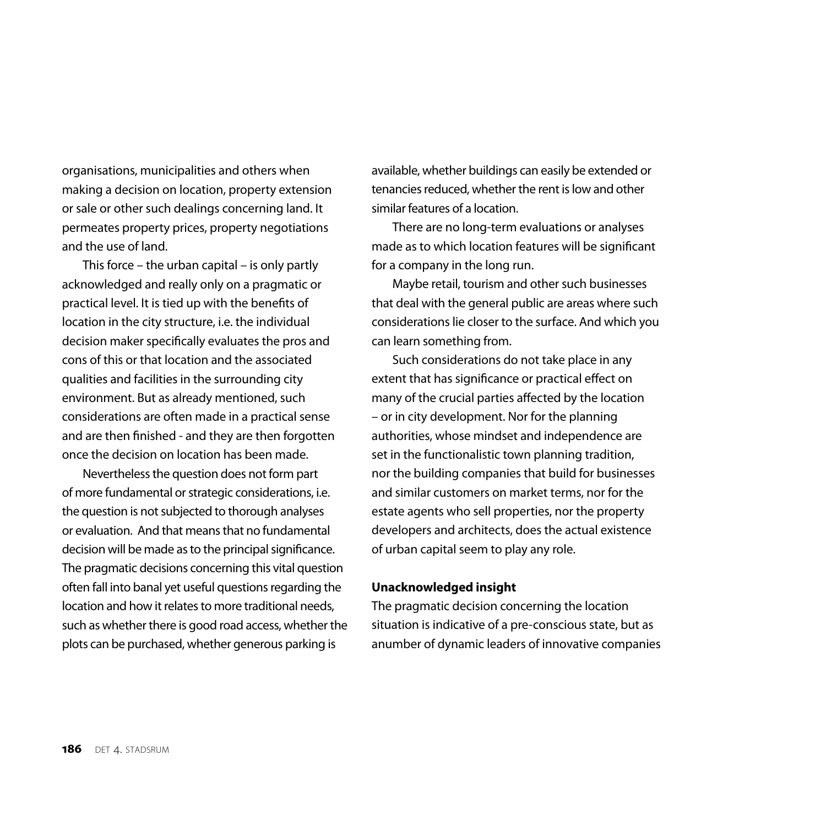organisations, municipalities and others when making a decision on location, property extension or sale or other such dealings concerning land. It permeates property prices, property negotiations and the use of land.

This force – the urban capital – is only partly acknowledged and really only on a pragmatic or practical level. It is tied up with the benefits of location in the city structure, i.e. the individual decision maker specifically evaluates the pros and cons of this or that location and the associated qualities and facilities in the surrounding city environment. But as already mentioned, such considerations are often made in a practical sense and are then finished - and they are then forgotten once the decision on location has been made.

Nevertheless the question does not form part of more fundamental or strategic considerations, i.e. the question is not subjected to thorough analyses or evaluation. And that means that no fundamental decision will be made as to the principal significance. The pragmatic decisions concerning this vital question often fall into banal yet useful questions regarding the location and how it relates to more traditional needs, such as whether there is good road access, whether the plots can be purchased, whether generous parking is

available, whether buildings can easily be extended or tenancies reduced, whether the rent is low and other similar features of a location.

There are no long-term evaluations or analyses made as to which location features will be significant for a company in the long run.

Maybe retail, tourism and other such businesses that deal with the general public are areas where such considerations lie closer to the surface. And which you can learn something from.

Such considerations do not take place in any extent that has significance or practical effect on many of the crucial parties affected by the location – or in city development. Nor for the planning authorities, whose mindset and independence are set in the functionalistic town planning tradition, nor the building companies that build for businesses and similar customers on market terms, nor for the estate agents who sell properties, nor the property developers and architects, does the actual existence of urban capital seem to play any role.

#### **Unacknowledged insight**

The pragmatic decision concerning the location situation is indicative of a pre-conscious state, but as anumber of dynamic leaders of innovative companies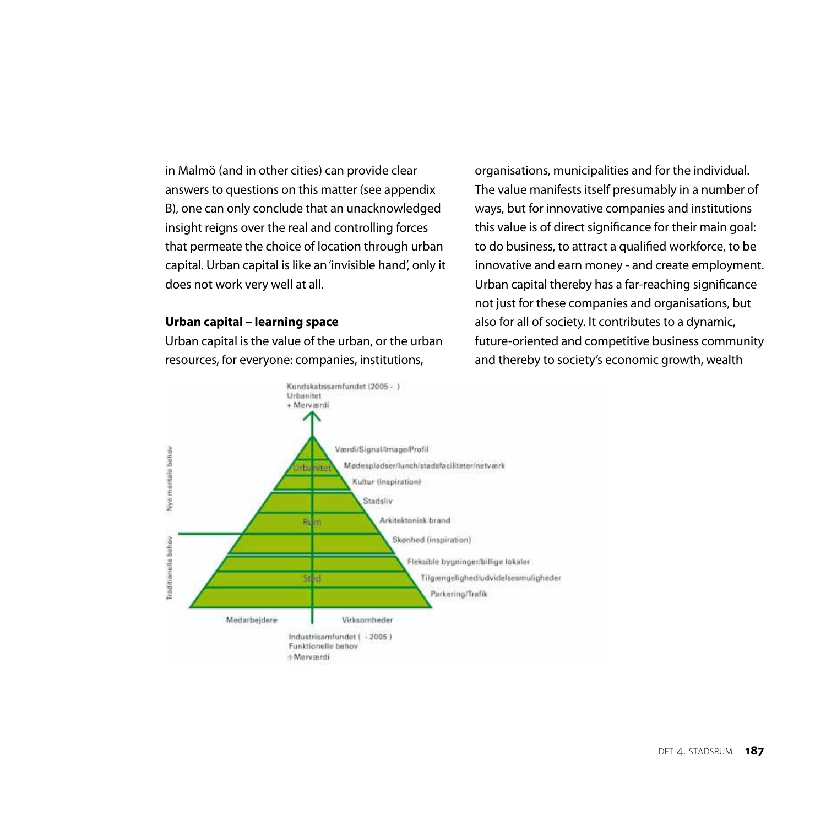in Malmö (and in other cities) can provide clear answers to questions on this matter (see appendix B), one can only conclude that an unacknowledged insight reigns over the real and controlling forces that permeate the choice of location through urban capital. Urban capital is like an 'invisible hand', only it does not work very well at all.

#### **Urban capital – learning space**

Urban capital is the value of the urban, or the urban resources, for everyone: companies, institutions,

organisations, municipalities and for the individual. The value manifests itself presumably in a number of ways, but for innovative companies and institutions this value is of direct significance for their main goal: to do business, to attract a qualified workforce, to be innovative and earn money - and create employment. Urban capital thereby has a far-reaching significance not just for these companies and organisations, but also for all of society. It contributes to a dynamic, future-oriented and competitive business community and thereby to society's economic growth, wealth

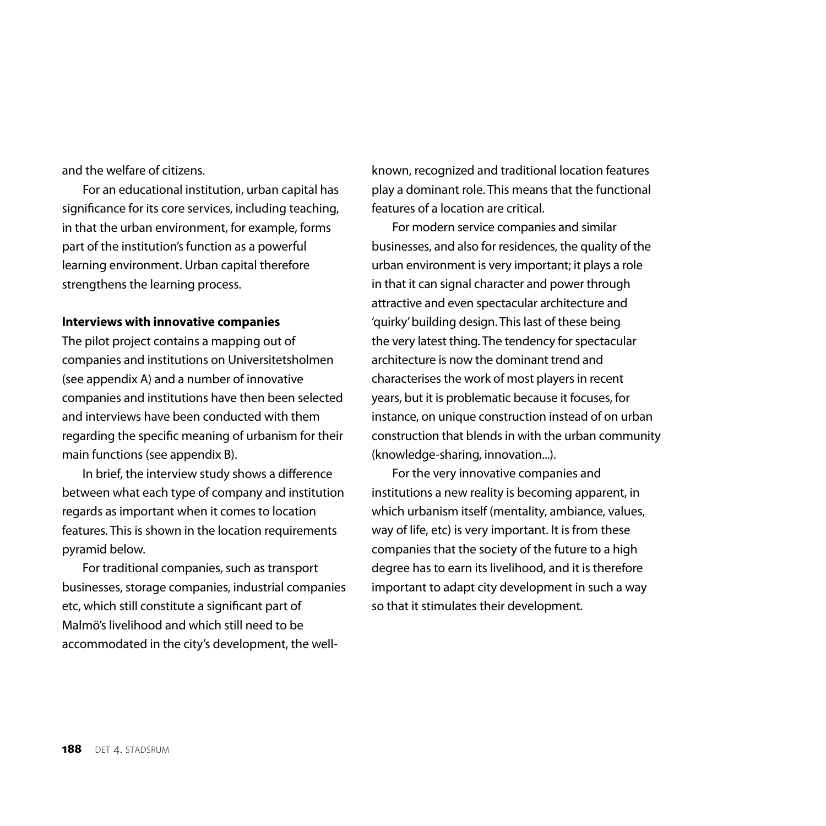and the welfare of citizens.

For an educational institution, urban capital has significance for its core services, including teaching, in that the urban environment, for example, forms part of the institution's function as a powerful learning environment. Urban capital therefore strengthens the learning process.

#### **Interviews with innovative companies**

The pilot project contains a mapping out of companies and institutions on Universitetsholmen (see appendix A) and a number of innovative companies and institutions have then been selected and interviews have been conducted with them regarding the specific meaning of urbanism for their main functions (see appendix B).

In brief, the interview study shows a difference between what each type of company and institution regards as important when it comes to location features. This is shown in the location requirements pyramid below.

For traditional companies, such as transport businesses, storage companies, industrial companies etc, which still constitute a significant part of Malmö's livelihood and which still need to be accommodated in the city's development, the wellknown, recognized and traditional location features play a dominant role. This means that the functional features of a location are critical.

For modern service companies and similar businesses, and also for residences, the quality of the urban environment is very important; it plays a role in that it can signal character and power through attractive and even spectacular architecture and 'quirky' building design. This last of these being the very latest thing. The tendency for spectacular architecture is now the dominant trend and characterises the work of most players in recent years, but it is problematic because it focuses, for instance, on unique construction instead of on urban construction that blends in with the urban community (knowledge-sharing, innovation...).

For the very innovative companies and institutions a new reality is becoming apparent, in which urbanism itself (mentality, ambiance, values, way of life, etc) is very important. It is from these companies that the society of the future to a high degree has to earn its livelihood, and it is therefore important to adapt city development in such a way so that it stimulates their development.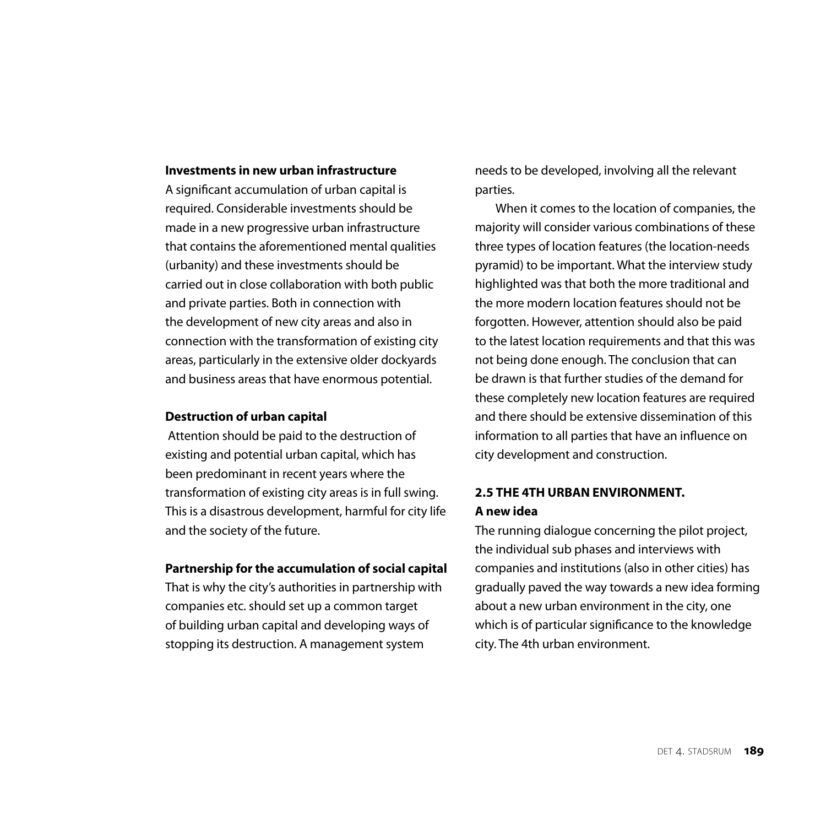## **Investments in new urban infrastructure**

A significant accumulation of urban capital is required. Considerable investments should be made in a new progressive urban infrastructure that contains the aforementioned mental qualities (urbanity) and these investments should be carried out in close collaboration with both public and private parties. Both in connection with the development of new city areas and also in connection with the transformation of existing city areas, particularly in the extensive older dockyards and business areas that have enormous potential.

## **Destruction of urban capital**

 Attention should be paid to the destruction of existing and potential urban capital, which has been predominant in recent years where the transformation of existing city areas is in full swing. This is a disastrous development, harmful for city life and the society of the future.

#### **Partnership for the accumulation of social capital**

That is why the city's authorities in partnership with companies etc. should set up a common target of building urban capital and developing ways of stopping its destruction. A management system

needs to be developed, involving all the relevant parties.

When it comes to the location of companies, the majority will consider various combinations of these three types of location features (the location-needs pyramid) to be important. What the interview study highlighted was that both the more traditional and the more modern location features should not be forgotten. However, attention should also be paid to the latest location requirements and that this was not being done enough. The conclusion that can be drawn is that further studies of the demand for these completely new location features are required and there should be extensive dissemination of this information to all parties that have an influence on city development and construction.

## **2.5 the 4th urban environment. A new idea**

The running dialogue concerning the pilot project, the individual sub phases and interviews with companies and institutions (also in other cities) has gradually paved the way towards a new idea forming about a new urban environment in the city, one which is of particular significance to the knowledge city. The 4th urban environment.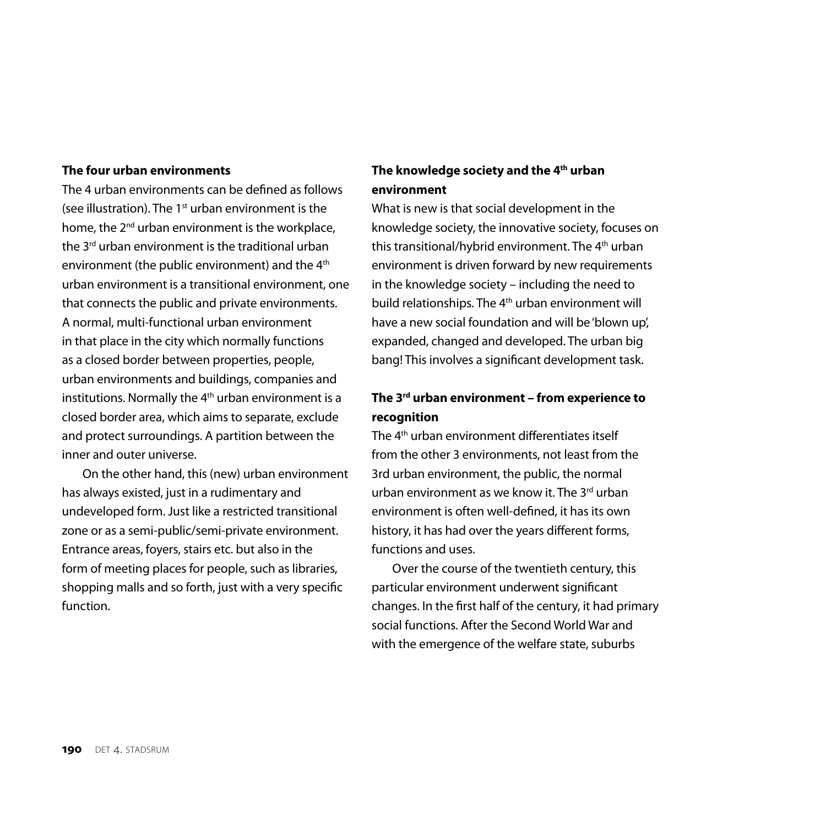## **The four urban environments**

The 4 urban environments can be defined as follows (see illustration). The  $1<sup>st</sup>$  urban environment is the home, the 2<sup>nd</sup> urban environment is the workplace, the 3<sup>rd</sup> urban environment is the traditional urban environment (the public environment) and the 4<sup>th</sup> urban environment is a transitional environment, one that connects the public and private environments. A normal, multi-functional urban environment in that place in the city which normally functions as a closed border between properties, people, urban environments and buildings, companies and institutions. Normally the  $4<sup>th</sup>$  urban environment is a closed border area, which aims to separate, exclude and protect surroundings. A partition between the inner and outer universe.

On the other hand, this (new) urban environment has always existed, just in a rudimentary and undeveloped form. Just like a restricted transitional zone or as a semi-public/semi-private environment. Entrance areas, foyers, stairs etc. but also in the form of meeting places for people, such as libraries, shopping malls and so forth, just with a very specific function.

## **The knowledge society and the 4th urban environment**

What is new is that social development in the knowledge society, the innovative society, focuses on this transitional/hybrid environment. The 4<sup>th</sup> urban environment is driven forward by new requirements in the knowledge society – including the need to build relationships. The 4<sup>th</sup> urban environment will have a new social foundation and will be 'blown up', expanded, changed and developed. The urban big bang! This involves a significant development task.

# **The 3rd urban environment – from experience to recognition**

The 4th urban environment differentiates itself from the other 3 environments, not least from the 3rd urban environment, the public, the normal urban environment as we know it. The 3<sup>rd</sup> urban environment is often well-defined, it has its own history, it has had over the years different forms, functions and uses.

Over the course of the twentieth century, this particular environment underwent significant changes. In the first half of the century, it had primary social functions. After the Second World War and with the emergence of the welfare state, suburbs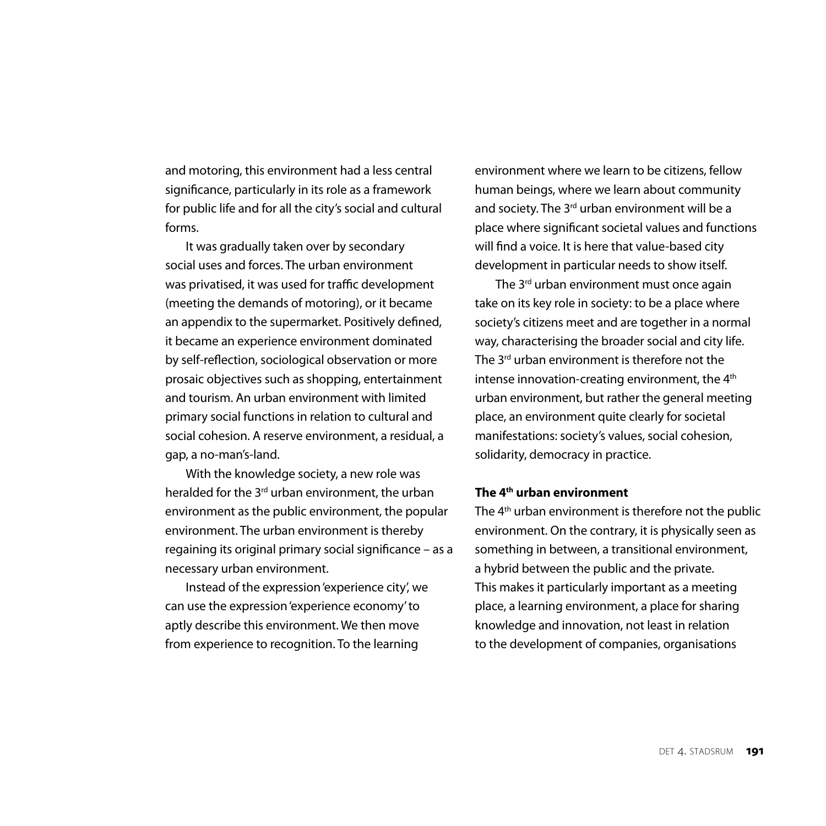and motoring, this environment had a less central significance, particularly in its role as a framework for public life and for all the city's social and cultural forms.

It was gradually taken over by secondary social uses and forces. The urban environment was privatised, it was used for traffic development (meeting the demands of motoring), or it became an appendix to the supermarket. Positively defined, it became an experience environment dominated by self-reflection, sociological observation or more prosaic objectives such as shopping, entertainment and tourism. An urban environment with limited primary social functions in relation to cultural and social cohesion. A reserve environment, a residual, a gap, a no-man's-land.

With the knowledge society, a new role was heralded for the  $3<sup>rd</sup>$  urban environment, the urban environment as the public environment, the popular environment. The urban environment is thereby regaining its original primary social significance – as a necessary urban environment.

Instead of the expression 'experience city', we can use the expression 'experience economy' to aptly describe this environment. We then move from experience to recognition. To the learning

environment where we learn to be citizens, fellow human beings, where we learn about community and society. The 3<sup>rd</sup> urban environment will be a place where significant societal values and functions will find a voice. It is here that value-based city development in particular needs to show itself.

The 3<sup>rd</sup> urban environment must once again take on its key role in society: to be a place where society's citizens meet and are together in a normal way, characterising the broader social and city life. The 3<sup>rd</sup> urban environment is therefore not the intense innovation-creating environment, the 4<sup>th</sup> urban environment, but rather the general meeting place, an environment quite clearly for societal manifestations: society's values, social cohesion, solidarity, democracy in practice.

## **The 4th urban environment**

The 4<sup>th</sup> urban environment is therefore not the public environment. On the contrary, it is physically seen as something in between, a transitional environment, a hybrid between the public and the private. This makes it particularly important as a meeting place, a learning environment, a place for sharing knowledge and innovation, not least in relation to the development of companies, organisations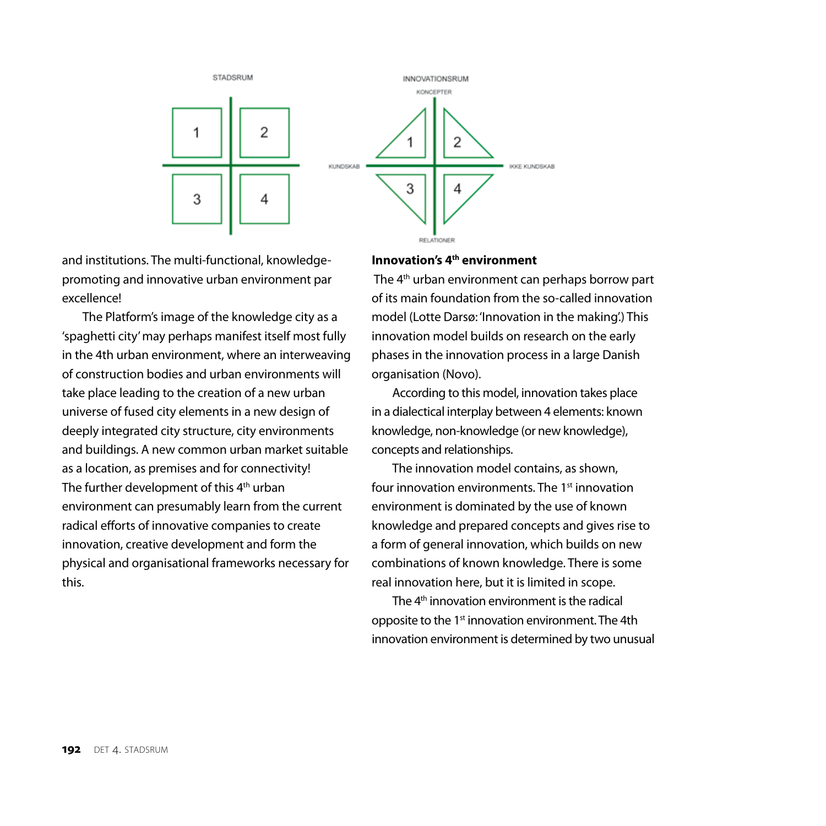

and institutions. The multi-functional, knowledgepromoting and innovative urban environment par excellence!

The Platform's image of the knowledge city as a 'spaghetti city' may perhaps manifest itself most fully in the 4th urban environment, where an interweaving of construction bodies and urban environments will take place leading to the creation of a new urban universe of fused city elements in a new design of deeply integrated city structure, city environments and buildings. A new common urban market suitable as a location, as premises and for connectivity! The further development of this 4<sup>th</sup> urban environment can presumably learn from the current radical efforts of innovative companies to create innovation, creative development and form the physical and organisational frameworks necessary for this.

## **Innovation's 4th environment**

The 4<sup>th</sup> urban environment can perhaps borrow part of its main foundation from the so-called innovation model (Lotte Darsø: 'Innovation in the making'.) This innovation model builds on research on the early phases in the innovation process in a large Danish organisation (Novo).

According to this model, innovation takes place in a dialectical interplay between 4 elements: known knowledge, non-knowledge (or new knowledge), concepts and relationships.

The innovation model contains, as shown, four innovation environments. The 1st innovation environment is dominated by the use of known knowledge and prepared concepts and gives rise to a form of general innovation, which builds on new combinations of known knowledge. There is some real innovation here, but it is limited in scope.

The 4th innovation environment is the radical opposite to the 1<sup>st</sup> innovation environment. The 4th innovation environment is determined by two unusual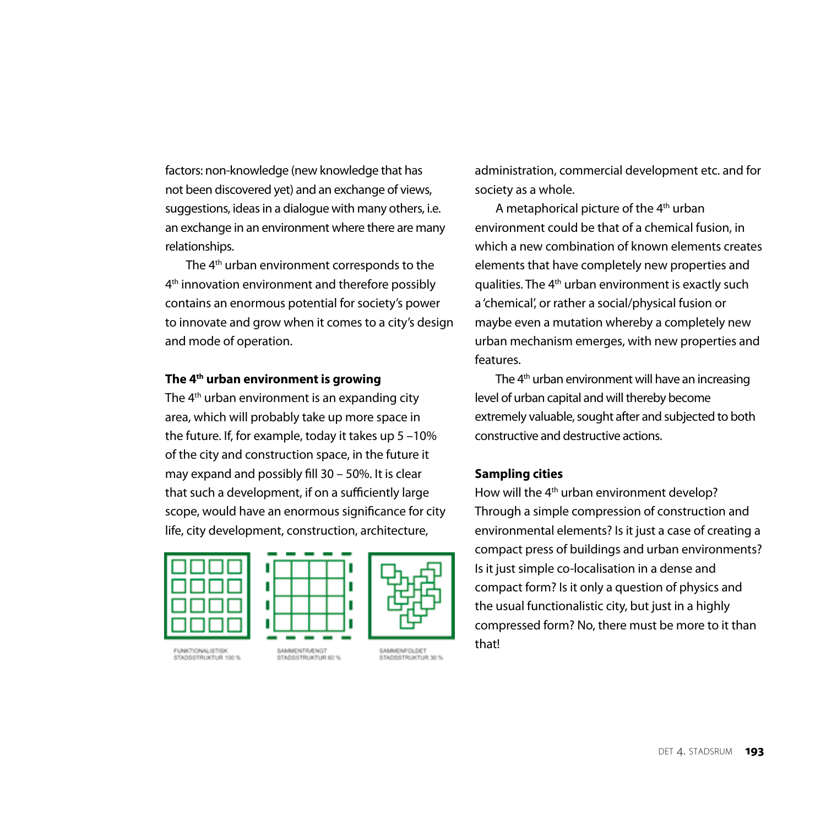factors: non-knowledge (new knowledge that has not been discovered yet) and an exchange of views, suggestions, ideas in a dialogue with many others, i.e. an exchange in an environment where there are many relationships.

The 4th urban environment corresponds to the 4<sup>th</sup> innovation environment and therefore possibly contains an enormous potential for society's power to innovate and grow when it comes to a city's design and mode of operation.

#### **The 4th urban environment is growing**

The  $4<sup>th</sup>$  urban environment is an expanding city area, which will probably take up more space in the future. If, for example, today it takes up 5 –10% of the city and construction space, in the future it may expand and possibly fill 30 – 50%. It is clear that such a development, if on a sufficiently large scope, would have an enormous significance for city life, city development, construction, architecture,







SAMMENFOLDET

STADSSTRUKTUR 30 %

FUNKTIONALISTISK STADSSTRUKTUR 100 %

SAMMENTRAENGT STADSSTRUKTUR 60 %



A metaphorical picture of the 4th urban environment could be that of a chemical fusion, in which a new combination of known elements creates elements that have completely new properties and qualities. The 4th urban environment is exactly such a 'chemical', or rather a social/physical fusion or maybe even a mutation whereby a completely new urban mechanism emerges, with new properties and features.

The  $4<sup>th</sup>$  urban environment will have an increasing level of urban capital and will thereby become extremely valuable, sought after and subjected to both constructive and destructive actions.

## **Sampling cities**

How will the 4<sup>th</sup> urban environment develop? Through a simple compression of construction and environmental elements? Is it just a case of creating a compact press of buildings and urban environments? Is it just simple co-localisation in a dense and compact form? Is it only a question of physics and the usual functionalistic city, but just in a highly compressed form? No, there must be more to it than that!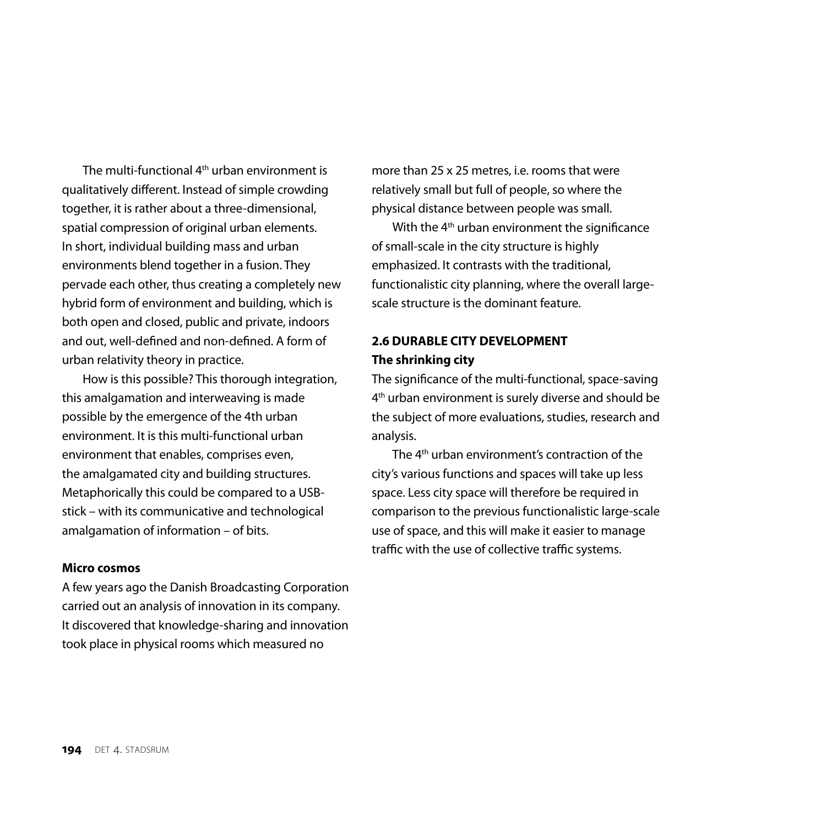The multi-functional 4th urban environment is qualitatively different. Instead of simple crowding together, it is rather about a three-dimensional, spatial compression of original urban elements. In short, individual building mass and urban environments blend together in a fusion. They pervade each other, thus creating a completely new hybrid form of environment and building, which is both open and closed, public and private, indoors and out, well-defined and non-defined. A form of urban relativity theory in practice.

How is this possible? This thorough integration, this amalgamation and interweaving is made possible by the emergence of the 4th urban environment. It is this multi-functional urban environment that enables, comprises even, the amalgamated city and building structures. Metaphorically this could be compared to a USBstick – with its communicative and technological amalgamation of information – of bits.

## **Micro cosmos**

A few years ago the Danish Broadcasting Corporation carried out an analysis of innovation in its company. It discovered that knowledge-sharing and innovation took place in physical rooms which measured no

more than 25 x 25 metres, i.e. rooms that were relatively small but full of people, so where the physical distance between people was small.

With the 4<sup>th</sup> urban environment the significance of small-scale in the city structure is highly emphasized. It contrasts with the traditional, functionalistic city planning, where the overall largescale structure is the dominant feature.

# **2.6 DURABLE CITY DEVELOPMENT The shrinking city**

The significance of the multi-functional, space-saving 4th urban environment is surely diverse and should be the subject of more evaluations, studies, research and analysis.

The 4th urban environment's contraction of the city's various functions and spaces will take up less space. Less city space will therefore be required in comparison to the previous functionalistic large-scale use of space, and this will make it easier to manage traffic with the use of collective traffic systems.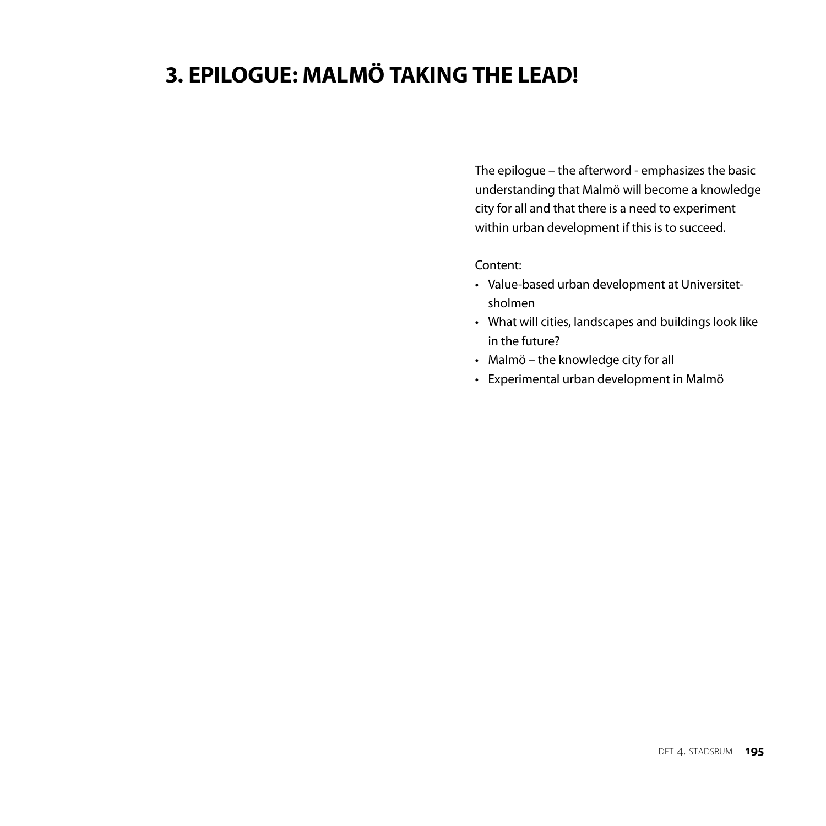# **3. EPILOGUE: MALMÖ TAKING THE LEAD!**

The epilogue – the afterword - emphasizes the basic understanding that Malmö will become a knowledge city for all and that there is a need to experiment within urban development if this is to succeed.

#### Content:

- Value-based urban development at Universitetsholmen
- What will cities, landscapes and buildings look like in the future?
- Malmö the knowledge city for all
- Experimental urban development in Malmö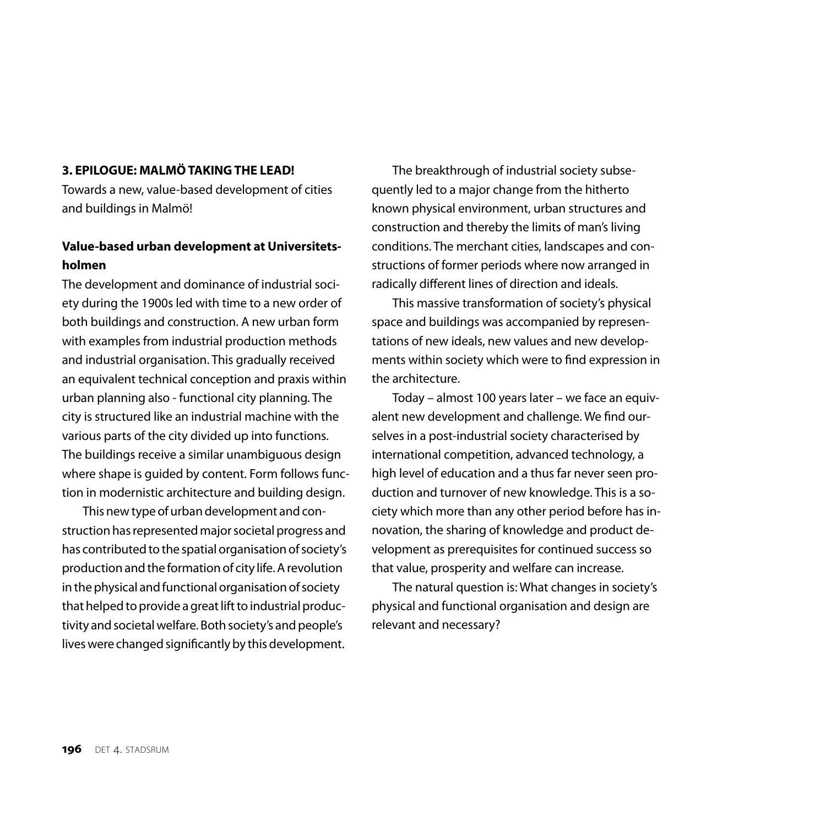## **3. EPILOGUE: MALMÖ TAKINGTHE LEAD!**

Towards a new, value-based development of cities and buildings in Malmö!

# **Value-based urban development at Universitetsholmen**

The development and dominance of industrial society during the 1900s led with time to a new order of both buildings and construction. A new urban form with examples from industrial production methods and industrial organisation. This gradually received an equivalent technical conception and praxis within urban planning also - functional city planning. The city is structured like an industrial machine with the various parts of the city divided up into functions. The buildings receive a similar unambiguous design where shape is guided by content. Form follows function in modernistic architecture and building design.

This new type of urban development and construction has represented major societal progress and has contributed to the spatial organisation of society's production and the formation of city life. A revolution in the physical and functional organisation of society that helped to provide a great lift to industrial productivity and societal welfare. Both society's and people's lives were changed significantly by this development.

The breakthrough of industrial society subsequently led to a major change from the hitherto known physical environment, urban structures and construction and thereby the limits of man's living conditions. The merchant cities, landscapes and constructions of former periods where now arranged in radically different lines of direction and ideals.

This massive transformation of society's physical space and buildings was accompanied by representations of new ideals, new values and new developments within society which were to find expression in the architecture.

Today – almost 100 years later – we face an equivalent new development and challenge. We find ourselves in a post-industrial society characterised by international competition, advanced technology, a high level of education and a thus far never seen production and turnover of new knowledge. This is a society which more than any other period before has innovation, the sharing of knowledge and product development as prerequisites for continued success so that value, prosperity and welfare can increase.

The natural question is: What changes in society's physical and functional organisation and design are relevant and necessary?